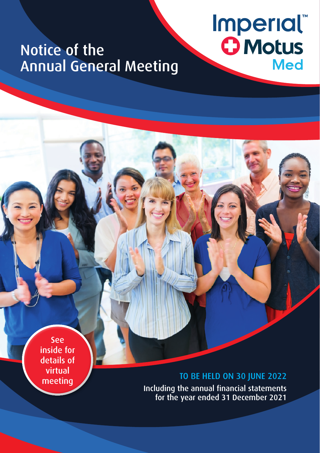# Imperial® **O** Motus **Med**

# Notice of the Annual General Meeting

See inside for details of virtual meeting

TO BE HELD ON 30 JUNE 2022 Including the annual financial statements for the year ended 31 December 2021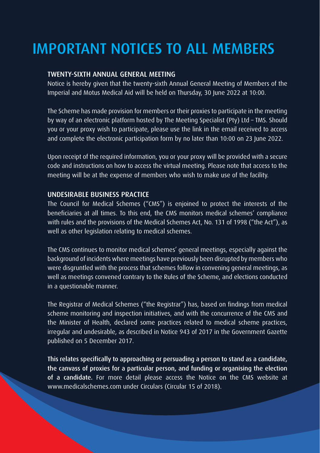# IMPORTANT NOTICES TO ALL MEMBERS

#### TWENTY-SIXTH ANNUAL GENERAL MEETING

Notice is hereby given that the twenty-sixth Annual General Meeting of Members of the Imperial and Motus Medical Aid will be held on Thursday, 30 June 2022 at 10:00.

The Scheme has made provision for members or their proxies to participate in the meeting by way of an electronic platform hosted by The Meeting Specialist (Pty) Ltd – TMS. Should you or your proxy wish to participate, please use the link in the email received to access and complete the electronic participation form by no later than 10:00 on 23 June 2022.

Upon receipt of the required information, you or your proxy will be provided with a secure code and instructions on how to access the virtual meeting. Please note that access to the meeting will be at the expense of members who wish to make use of the facility.

#### UNDESIRABLE BUSINESS PRACTICE

The Council for Medical Schemes ("CMS") is enjoined to protect the interests of the beneficiaries at all times. To this end, the CMS monitors medical schemes' compliance with rules and the provisions of the Medical Schemes Act, No. 131 of 1998 ("the Act"), as well as other legislation relating to medical schemes.

The CMS continues to monitor medical schemes' general meetings, especially against the background of incidents where meetings have previously been disrupted by members who were disgruntled with the process that schemes follow in convening general meetings, as well as meetings convened contrary to the Rules of the Scheme, and elections conducted in a questionable manner.

The Registrar of Medical Schemes ("the Registrar") has, based on findings from medical scheme monitoring and inspection initiatives, and with the concurrence of the CMS and the Minister of Health, declared some practices related to medical scheme practices, irregular and undesirable, as described in Notice 943 of 2017 in the Government Gazette published on 5 December 2017.

This relates specifically to approaching or persuading a person to stand as a candidate, the canvass of proxies for a particular person, and funding or organising the election of a candidate. For more detail please access the Notice on the CMS website at www.medicalschemes.com under Circulars (Circular 15 of 2018).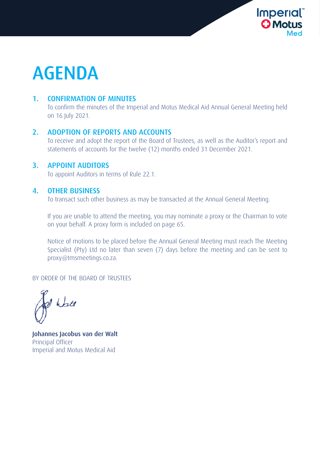

# AGENDA

## 1. CONFIRMATION OF MINUTES

To confirm the minutes of the Imperial and Motus Medical Aid Annual General Meeting held on 16 July 2021.

### 2. ADOPTION OF REPORTS AND ACCOUNTS

To receive and adopt the report of the Board of Trustees, as well as the Auditor's report and statements of accounts for the twelve (12) months ended 31 December 2021.

### 3. APPOINT AUDITORS

To appoint Auditors in terms of Rule 22.1.

#### 4. OTHER BUSINESS

To transact such other business as may be transacted at the Annual General Meeting.

If you are unable to attend the meeting, you may nominate a proxy or the Chairman to vote on your behalf. A proxy form is included on page 65.

Notice of motions to be placed before the Annual General Meeting must reach The Meeting Specialist (Pty) Ltd no later than seven (7) days before the meeting and can be sent to proxy@tmsmeetings.co.za.

BY ORDER OF THE BOARD OF TRUSTEES

of Walt

Johannes Jacobus van der Walt Principal Officer Imperial and Motus Medical Aid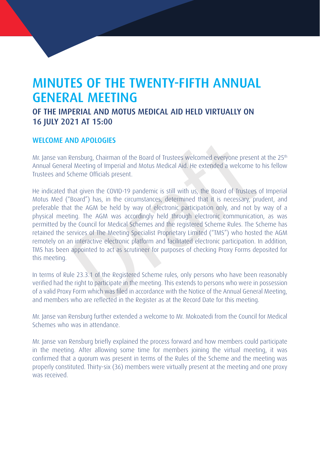# MINUTES OF THE TWENTY-FIFTH ANNUAL GENERAL MEETING

# OF THE IMPERIAL AND MOTUS MEDICAL AID HELD VIRTUALLY ON 16 JULY 2021 AT 15:00

#### WELCOME AND APOLOGIES

Mr. Janse van Rensburg, Chairman of the Board of Trustees welcomed everyone present at the 25<sup>th</sup> Annual General Meeting of Imperial and Motus Medical Aid. He extended a welcome to his fellow Trustees and Scheme Officials present.

He indicated that given the COVID-19 pandemic is still with us, the Board of Trustees of Imperial Motus Med ("Board") has, in the circumstances, determined that it is necessary, prudent, and preferable that the AGM be held by way of electronic participation only, and not by way of a physical meeting. The AGM was accordingly held through electronic communication, as was permitted by the Council for Medical Schemes and the registered Scheme Rules. The Scheme has retained the services of The Meeting Specialist Proprietary Limited ("TMS") who hosted the AGM remotely on an interactive electronic platform and facilitated electronic participation. In addition, TMS has been appointed to act as scrutineer for purposes of checking Proxy Forms deposited for this meeting. **Rensburg, Chairman of the Board of Trustees welcomed everyone presently Meeting of Imperial and Motus Medical Aid. He extended a welcome the<br>me Officials present.<br>hat given the COVID-19 pandemic is still with us, the Boar** 

In terms of Rule 23.3.1 of the Registered Scheme rules, only persons who have been reasonably verified had the right to participate in the meeting. This extends to persons who were in possession of a valid Proxy Form which was filed in accordance with the Notice of the Annual General Meeting, and members who are reflected in the Register as at the Record Date for this meeting.

Mr. Janse van Rensburg further extended a welcome to Mr. Mokoatedi from the Council for Medical Schemes who was in attendance.

Mr. Janse van Rensburg briefly explained the process forward and how members could participate in the meeting. After allowing some time for members joining the virtual meeting, it was confirmed that a quorum was present in terms of the Rules of the Scheme and the meeting was properly constituted. Thirty-six (36) members were virtually present at the meeting and one proxy was received.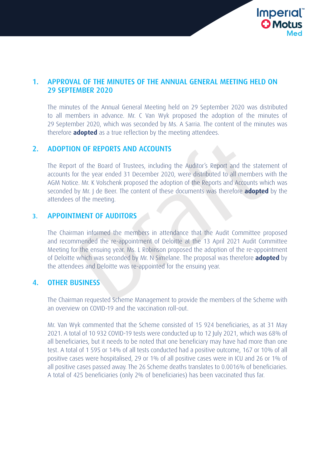### 1. APPROVAL OF THE MINUTES OF THE ANNUAL GENERAL MEETING HELD ON 29 SEPTEMBER 2020

The minutes of the Annual General Meeting held on 29 September 2020 was distributed to all members in advance. Mr. C Van Wyk proposed the adoption of the minutes of 29 September 2020, which was seconded by Ms. A Sarria. The content of the minutes was therefore **adopted** as a true reflection by the meeting attendees.

#### 2. ADOPTION OF REPORTS AND ACCOUNTS

The Report of the Board of Trustees, including the Auditor's Report and the statement of accounts for the year ended 31 December 2020, were distributed to all members with the AGM Notice. Mr. K Volschenk proposed the adoption of the Reports and Accounts which was seconded by Mr. J de Beer. The content of these documents was therefore **adopted** by the attendees of the meeting. **N OF REPORTS AND ACCOUNTS**<br>
of the Board of Trustees, including the Auditor's Report and the state<br>
or the year ended 31 December 2020, were distributed to all members<br>
e. Mr. K Volschenk proposed the adoption of the Repo

#### 3. APPOINTMENT OF AUDITORS

The Chairman informed the members in attendance that the Audit Committee proposed and recommended the re-appointment of Deloitte at the 13 April 2021 Audit Committee Meeting for the ensuing year. Ms. L Robinson proposed the adoption of the re-appointment of Deloitte which was seconded by Mr. N Simelane. The proposal was therefore **adopted** by the attendees and Deloitte was re-appointed for the ensuing year.

#### 4. OTHER BUSINESS

The Chairman requested Scheme Management to provide the members of the Scheme with an overview on COVID-19 and the vaccination roll-out.

Mr. Van Wyk commented that the Scheme consisted of 15 924 beneficiaries, as at 31 May 2021. A total of 10 932 COVID-19 tests were conducted up to 12 July 2021, which was 68% of all beneficiaries, but it needs to be noted that one beneficiary may have had more than one test. A total of 1 595 or 14% of all tests conducted had a positive outcome, 167 or 10% of all positive cases were hospitalised, 29 or 1% of all positive cases were in ICU and 26 or 1% of all positive cases passed away. The 26 Scheme deaths translates to 0.0016% of beneficiaries. A total of 425 beneficiaries (only 2% of beneficiaries) has been vaccinated thus far.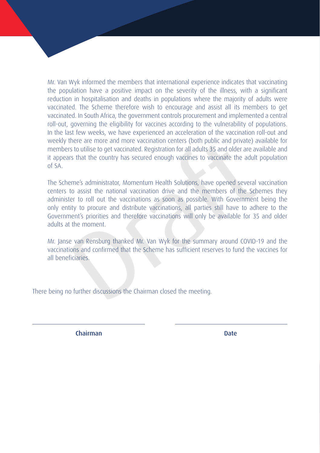Mr. Van Wyk informed the members that international experience indicates that vaccinating the population have a positive impact on the severity of the illness, with a significant reduction in hospitalisation and deaths in populations where the majority of adults were vaccinated. The Scheme therefore wish to encourage and assist all its members to get vaccinated. In South Africa, the government controls procurement and implemented a central roll-out, governing the eligibility for vaccines according to the vulnerability of populations. In the last few weeks, we have experienced an acceleration of the vaccination roll-out and weekly there are more and more vaccination centers (both public and private) available for members to utilise to get vaccinated. Registration for all adults 35 and older are available and it appears that the country has secured enough vaccines to vaccinate the adult population of SA.

The Scheme's administrator, Momentum Health Solutions, have opened several vaccination centers to assist the national vaccination drive and the members of the Schemes they administer to roll out the vaccinations as soon as possible. With Government being the only entity to procure and distribute vaccinations, all parties still have to adhere to the Government's priorities and therefore vaccinations will only be available for 35 and older adults at the moment. mere are more and more vacunation centers (boun public and pilvate) and the set of this secured. Registration for all adults 35 and older are at is to utilise to get vaccinated. Registration for all adults 35 and older are

Mr. Janse van Rensburg thanked Mr. Van Wyk for the summary around COVID-19 and the vaccinations and confirmed that the Scheme has sufficient reserves to fund the vaccines for all beneficiaries.

There being no further discussions the Chairman closed the meeting.

Chairman Date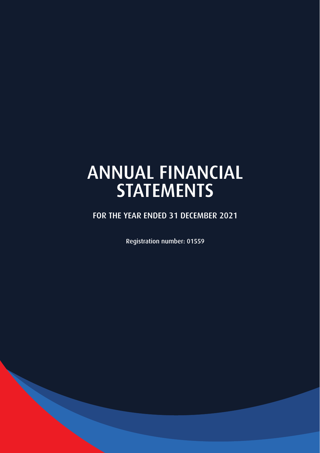# ANNUAL FINANCIAL **STATEMENTS**

FOR THE YEAR ENDED 31 DECEMBER 2021

Registration number: 01559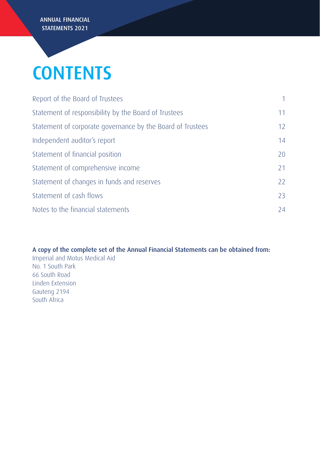# **CONTENTS**

| Report of the Board of Trustees                            | 1. |
|------------------------------------------------------------|----|
| Statement of responsibility by the Board of Trustees       | 11 |
| Statement of corporate governance by the Board of Trustees | 12 |
| Independent auditor's report                               | 14 |
| Statement of financial position                            | 20 |
| Statement of comprehensive income                          | 21 |
| Statement of changes in funds and reserves                 | 22 |
| Statement of cash flows                                    | 23 |
| Notes to the financial statements                          | 24 |

A copy of the complete set of the Annual Financial Statements can be obtained from: Imperial and Motus Medical Aid No. 1 South Park 66 South Road Linden Extension Gauteng 2194 South Africa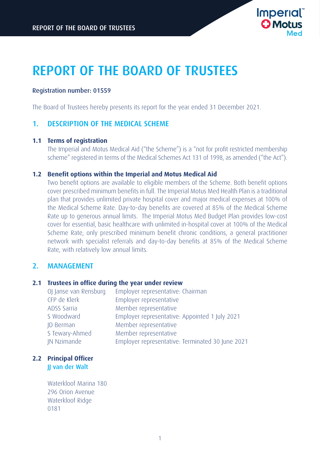

# REPORT OF THE BOARD OF TRUSTEES

#### Registration number: 01559

The Board of Trustees hereby presents its report for the year ended 31 December 2021.

# 1. DESCRIPTION OF THE MEDICAL SCHEME

#### **1.1 Terms of registration**

The Imperial and Motus Medical Aid ("the Scheme") is a "not for profit restricted membership scheme" registered in terms of the Medical Schemes Act 131 of 1998, as amended ("the Act").

#### **1.2 Benefit options within the Imperial and Motus Medical Aid**

Two benefit options are available to eligible members of the Scheme. Both benefit options cover prescribed minimum benefits in full. The Imperial Motus Med Health Plan is a traditional plan that provides unlimited private hospital cover and major medical expenses at 100% of the Medical Scheme Rate. Day-to-day benefits are covered at 85% of the Medical Scheme Rate up to generous annual limits. The Imperial Motus Med Budget Plan provides low-cost cover for essential, basic healthcare with unlimited in-hospital cover at 100% of the Medical Scheme Rate, only prescribed minimum benefit chronic conditions, a general practitioner network with specialist referrals and day-to-day benefits at 85% of the Medical Scheme Rate, with relatively low annual limits.

### 2. MANAGEMENT

#### **2.1 Trustees in office during the year under review**

| OI Janse van Rensburg | Employer representative: Chairman                |
|-----------------------|--------------------------------------------------|
| CFP de Klerk          | Employer representative                          |
| ADSS Sarria           | Member representative                            |
| S Woodward            | Employer representative: Appointed 1 July 2021   |
| <b>ID Berman</b>      | Member representative                            |
| S Tewary-Ahmed        | Member representative                            |
| JN Nzimande           | Employer representative: Terminated 30 June 2021 |

#### **2.2 Principal Officer II van der Walt**

Waterkloof Marina 180 296 Orion Avenue Waterkloof Ridge 0181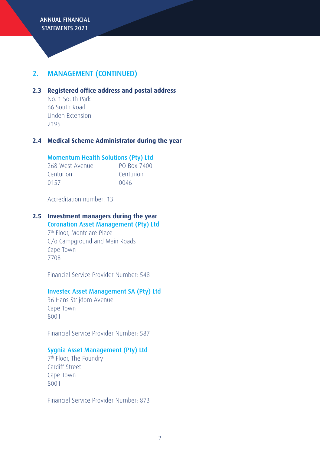# 2. MANAGEMENT (CONTINUED)

#### **2.3 Registered office address and postal address**

No. 1 South Park 66 South Road Linden Extension 2195

#### **2.4 Medical Scheme Administrator during the year**

#### Momentum Health Solutions (Pty) Ltd

| 268 West Avenue | PO Box 7400 |
|-----------------|-------------|
| Centurion       | Centurion   |
| 0157            | 0046        |

Accreditation number: 13

#### **2.5 Investment managers during the year**

Coronation Asset Management (Pty) Ltd 7th Floor, Montclare Place C/o Campground and Main Roads Cape Town 7708

Financial Service Provider Number: 548

#### Investec Asset Management SA (Pty) Ltd

36 Hans Strijdom Avenue Cape Town 8001

Financial Service Provider Number: 587

#### Sygnia Asset Management (Pty) Ltd

7<sup>th</sup> Floor, The Foundry Cardiff Street Cape Town 8001

Financial Service Provider Number: 873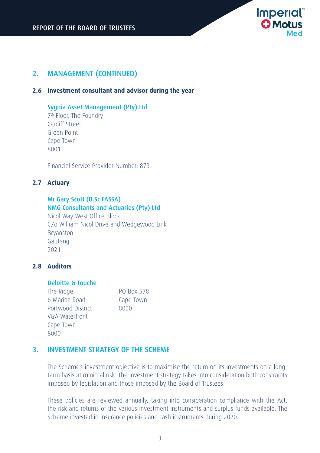

### 2. MANAGEMENT (CONTINUED)

#### **2.6 Investment consultant and advisor during the year**

#### Sygnia Asset Management (Pty) Ltd 7th Floor, The Foundry Cardiff Street Green Point Cape Town

Financial Service Provider Number: 873

#### **2.7 Actuary**

8001

#### Mr Gary Scott (B.Sc FASSA) NMG Consultants and Actuaries (Pty) Ltd

Nicol Way West Office Block C/o William Nicol Drive and Wedgewood Link Bryanston Gauteng

2021

#### **2.8 Auditors**

#### Deloitte & Touche

The Ridge PO Box 578 6 Marina Road Cape Town Portwood District 8000 V&A Waterfront Cape Town 8000

#### 3. INVESTMENT STRATEGY OF THE SCHEME

The Scheme's investment objective is to maximise the return on its investments on a longterm basis at minimal risk. The investment strategy takes into consideration both constraints imposed by legislation and those imposed by the Board of Trustees.

These policies are reviewed annually, taking into consideration compliance with the Act, the risk and returns of the various investment instruments and surplus funds available. The Scheme invested in insurance policies and cash instruments during 2020.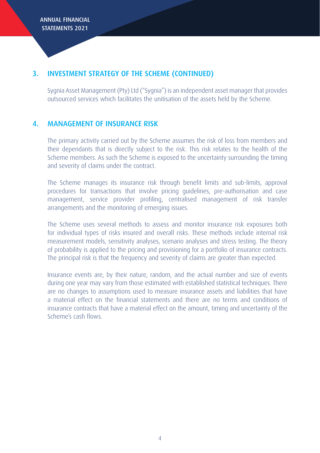## 3. INVESTMENT STRATEGY OF THE SCHEME (CONTINUED)

Sygnia Asset Management (Pty) Ltd ("Sygnia") is an independent asset manager that provides outsourced services which facilitates the unitisation of the assets held by the Scheme.

### 4. MANAGEMENT OF INSURANCE RISK

The primary activity carried out by the Scheme assumes the risk of loss from members and their dependants that is directly subject to the risk. This risk relates to the health of the Scheme members. As such the Scheme is exposed to the uncertainty surrounding the timing and severity of claims under the contract.

The Scheme manages its insurance risk through benefit limits and sub-limits, approval procedures for transactions that involve pricing guidelines, pre-authorisation and case management, service provider profiling, centralised management of risk transfer arrangements and the monitoring of emerging issues.

The Scheme uses several methods to assess and monitor insurance risk exposures both for individual types of risks insured and overall risks. These methods include internal risk measurement models, sensitivity analyses, scenario analyses and stress testing. The theory of probability is applied to the pricing and provisioning for a portfolio of insurance contracts. The principal risk is that the frequency and severity of claims are greater than expected.

Insurance events are, by their nature, random, and the actual number and size of events during one year may vary from those estimated with established statistical techniques. There are no changes to assumptions used to measure insurance assets and liabilities that have a material effect on the financial statements and there are no terms and conditions of insurance contracts that have a material effect on the amount, timing and uncertainty of the Scheme's cash flows.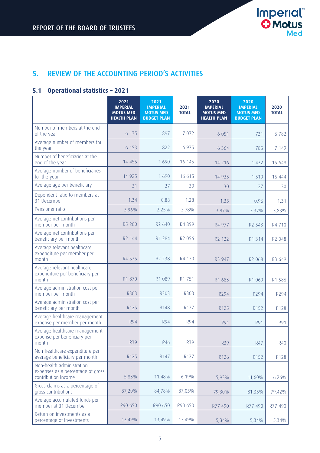# 5. REVIEW OF THE ACCOUNTING PERIOD'S ACTIVITIES

# **5.1 Operational statistics – 2021**

|                                                                                       | 2021<br><b>IMPERIAL</b><br><b>MOTUS MED</b><br><b>HEALTH PLAN</b> | 2021<br><b>IMPERIAL</b><br><b>MOTUS MED</b><br><b>BUDGET PLAN</b> | 2021<br><b>TOTAL</b> | 2020<br><b>IMPERIAL</b><br><b>MOTUS MED</b><br><b>HEALTH PLAN</b> | 2020<br><b>IMPERIAL</b><br><b>MOTUS MED</b><br><b>BUDGET PLAN</b> | 2020<br><b>TOTAL</b> |
|---------------------------------------------------------------------------------------|-------------------------------------------------------------------|-------------------------------------------------------------------|----------------------|-------------------------------------------------------------------|-------------------------------------------------------------------|----------------------|
| Number of members at the end<br>of the year                                           | 6 175                                                             | 897                                                               | 7 0 7 2              | 6 0 5 1                                                           | 731                                                               | 6782                 |
| Average number of members for<br>the year                                             | 6 1 5 3                                                           | 822                                                               | 6 9 7 5              | 6 3 6 4                                                           | 785                                                               | 7 1 4 9              |
| Number of beneficiaries at the<br>end of the year                                     | 14 4 5 5                                                          | 1690                                                              | 16 145               | 14 2 16                                                           | 1 4 3 2                                                           | 15 648               |
| Average number of beneficiaries<br>for the year                                       | 14 9 25                                                           | 1690                                                              | 16 6 15              | 14 9 25                                                           | 1519                                                              | 16 444               |
| Average age per beneficiary                                                           | 31                                                                | 27                                                                | 30                   | 30                                                                | 27                                                                | 30                   |
| Dependent ratio to members at<br>31 December                                          | 1,34                                                              | 0,88                                                              | 1,28                 | 1,35                                                              | 0,96                                                              | 1,31                 |
| Pensioner ratio                                                                       | 3,96%                                                             | 2,25%                                                             | 3,78%                | 3,97%                                                             | 2,37%                                                             | 3,83%                |
| Average net contributions per<br>member per month                                     | R5 200                                                            | R <sub>2</sub> 640                                                | R4 899               | R4 977                                                            | R <sub>2</sub> 543                                                | R4 710               |
| Average net contributions per<br>beneficiary per month                                | R <sub>2</sub> 144                                                | R1 284                                                            | R <sub>2</sub> 056   | R <sub>2</sub> 12 <sub>2</sub>                                    | R1 314                                                            | R2 048               |
| Average relevant healthcare<br>expenditure per member per<br>month                    | R4 535                                                            | R <sub>2</sub> 238                                                | R4 170               | R3 947                                                            | R <sub>2</sub> 068                                                | R3 649               |
| Average relevant healthcare<br>expenditure per beneficiary per<br>month               | R1870                                                             | R1 089                                                            | R1 751               | R1 683                                                            | R1069                                                             | R1 586               |
| Average administration cost per<br>member per month                                   | R303                                                              | R303                                                              | R303                 | R294                                                              | R294                                                              | R294                 |
| Average administration cost per<br>beneficiary per month                              | R <sub>125</sub>                                                  | R <sub>148</sub>                                                  | R <sub>127</sub>     | R125                                                              | R152                                                              | R128                 |
| Average healthcare management<br>expense per member per month                         | <b>R94</b>                                                        | <b>R94</b>                                                        | <b>R94</b>           | <b>R91</b>                                                        | <b>R91</b>                                                        | R91                  |
| Average healthcare management<br>expense per beneficiary per<br>month                 | <b>R39</b>                                                        | R46                                                               | <b>R39</b>           | R39                                                               | <b>R47</b>                                                        | <b>R40</b>           |
| Non-healthcare expenditure per<br>average beneficiary per month                       | R <sub>125</sub>                                                  | R147                                                              | R <sub>127</sub>     | R126                                                              | R152                                                              | R128                 |
| Non-health administration<br>expenses as a percentage of gross<br>contribution income | 5,83%                                                             | 11,48%                                                            | 6,19%                | 5,93%                                                             | 11,60%                                                            | 6,26%                |
| Gross claims as a percentage of<br>aross contributions                                | 87,20%                                                            | 84,78%                                                            | 87,05%               | 79,30%                                                            | 81,35%                                                            | 79,42%               |
| Average accumulated funds per<br>member at 31 December                                | R90 650                                                           | R90 650                                                           | R90 650              | R77 490                                                           | R77 490                                                           | R77 490              |
| Return on investments as a<br>percentage of investments                               | 13,49%                                                            | 13,49%                                                            | 13,49%               | 5,34%                                                             | 5,34%                                                             | 5,34%                |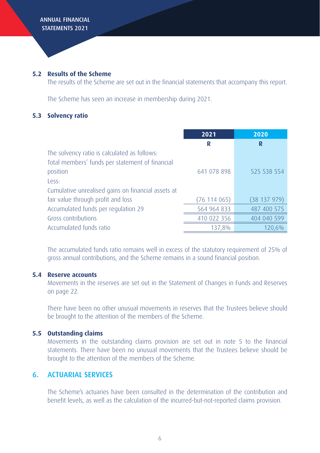#### **5.2 Results of the Scheme**

The results of the Scheme are set out in the financial statements that accompany this report.

The Scheme has seen an increase in membership during 2021.

#### **5.3 Solvency ratio**

|                                                    | 2021         | 2020         |
|----------------------------------------------------|--------------|--------------|
|                                                    | R            | R            |
| The solvency ratio is calculated as follows:       |              |              |
| Total members' funds per statement of financial    |              |              |
| position                                           | 641 078 898  | 525 538 554  |
| Less:                                              |              |              |
| Cumulative unrealised gains on financial assets at |              |              |
| fair value through profit and loss                 | (76 114 065) | (38 137 979) |
| Accumulated funds per regulation 29                | 564 964 833  | 487 400 575  |
| Gross contributions                                | 410 022 356  | 404 040 599  |
| Accumulated funds ratio                            | 137,8%       | 120,6%       |

The accumulated funds ratio remains well in excess of the statutory requirement of 25% of gross annual contributions, and the Scheme remains in a sound financial position.

#### **5.4 Reserve accounts**

Movements in the reserves are set out in the Statement of Changes in Funds and Reserves on page 22.

There have been no other unusual movements in reserves that the Trustees believe should be brought to the attention of the members of the Scheme.

#### **5.5 Outstanding claims**

Movements in the outstanding claims provision are set out in note 5 to the financial statements. There have been no unusual movements that the Trustees believe should be brought to the attention of the members of the Scheme.

### 6. ACTUARIAL SERVICES

The Scheme's actuaries have been consulted in the determination of the contribution and benefit levels, as well as the calculation of the incurred-but-not-reported claims provision.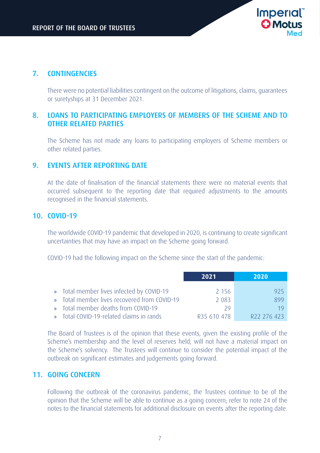

#### 7. CONTINGENCIES

There were no potential liabilities contingent on the outcome of litigations, claims, guarantees or suretyships at 31 December 2021.

#### 8. LOANS TO PARTICIPATING EMPLOYERS OF MEMBERS OF THE SCHEME AND TO OTHER RELATED PARTIES

The Scheme has not made any loans to participating employers of Scheme members or other related parties.

#### 9. EVENTS AFTER REPORTING DATE

At the date of finalisation of the financial statements there were no material events that occurred subsequent to the reporting date that required adjustments to the amounts recognised in the financial statements.

#### 10. COVID-19

The worldwide COVID-19 pandemic that developed in 2020, is continuing to create significant uncertainties that may have an impact on the Scheme going forward.

COVID-19 had the following impact on the Scheme since the start of the pandemic:

|                                              | 2021        | 2020                    |
|----------------------------------------------|-------------|-------------------------|
| » Total member lives infected by COVID-19    | 2 1 5 6     | 925.                    |
| » Total member lives recovered from COVID-19 | 2.083       | 899                     |
| » Total member deaths from COVID-19          | 29          | 19                      |
| » Total COVID-19-related claims in rands     | R35 610 478 | R <sub>22</sub> 276 423 |

The Board of Trustees is of the opinion that these events, given the existing profile of the Scheme's membership and the level of reserves held, will not have a material impact on the Scheme's solvency. The Trustees will continue to consider the potential impact of the outbreak on significant estimates and judgements going forward.

### 11. GOING CONCERN

Following the outbreak of the coronavirus pandemic, the Trustees continue to be of the opinion that the Scheme will be able to continue as a going concern; refer to note 24 of the notes to the financial statements for additional disclosure on events after the reporting date.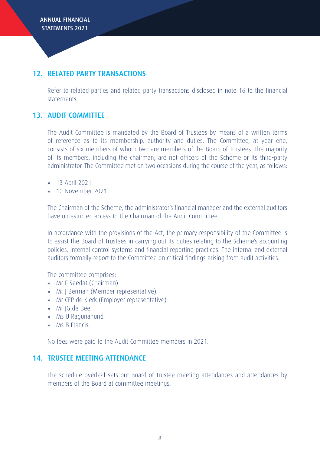## 12. RELATED PARTY TRANSACTIONS

Refer to related parties and related party transactions disclosed in note 16 to the financial statements.

### 13. AUDIT COMMITTEE

The Audit Committee is mandated by the Board of Trustees by means of a written terms of reference as to its membership, authority and duties. The Committee, at year end, consists of six members of whom two are members of the Board of Trustees. The majority of its members, including the chairman, are not officers of the Scheme or its third-party administrator. The Committee met on two occasions during the course of the year, as follows:

- » 13 April 2021
- » 10 November 2021.

The Chairman of the Scheme, the administrator's financial manager and the external auditors have unrestricted access to the Chairman of the Audit Committee.

In accordance with the provisions of the Act, the primary responsibility of the Committee is to assist the Board of Trustees in carrying out its duties relating to the Scheme's accounting policies, internal control systems and financial reporting practices. The internal and external auditors formally report to the Committee on critical findings arising from audit activities.

The committee comprises:

- » Mr F Seedat (Chairman)
- » Mr J Berman (Member representative)
- » Mr CFP de Klerk (Employer representative)
- » Mr JG de Beer
- » Ms U Ragunanund
- » Ms B Francis.

No fees were paid to the Audit Committee members in 2021.

#### 14. TRUSTEE MEETING ATTENDANCE

The schedule overleaf sets out Board of Trustee meeting attendances and attendances by members of the Board at committee meetings.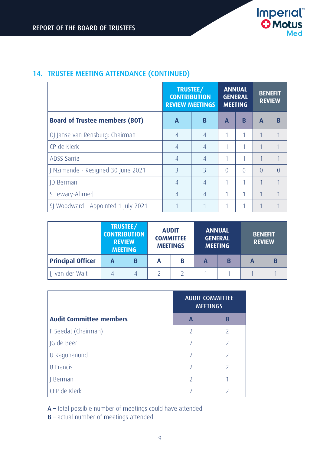# 14. TRUSTEE MEETING ATTENDANCE (CONTINUED)

|                                       | TRUSTEE/<br><b>CONTRIBUTION</b><br><b>REVIEW MEETINGS</b> |                | <b>ANNUAL</b><br><b>GENERAL</b><br><b>MEETING</b> |          | <b>BENEFIT</b><br><b>REVIEW</b> |   |
|---------------------------------------|-----------------------------------------------------------|----------------|---------------------------------------------------|----------|---------------------------------|---|
| <b>Board of Trustee members (BOT)</b> | A                                                         | B              | A                                                 | B        | $\mathbf{A}$                    | B |
| OJ Janse van Rensburg: Chairman       | $\overline{A}$                                            | $\overline{A}$ | 1                                                 | 1        | 1                               |   |
| CP de Klerk                           | $\overline{4}$                                            | Δ              |                                                   | 1        | 1                               |   |
| ADSS Sarria                           | $\overline{A}$                                            | $\overline{A}$ | 1                                                 | 1        | 1                               |   |
| J Nzimande - Resigned 30 June 2021    | 3                                                         | $\overline{3}$ | $\cap$                                            | $\Omega$ | $\Omega$                        | 0 |
| <b>ID Berman</b>                      | $\overline{A}$                                            | $\overline{A}$ | 1                                                 | 1        |                                 |   |
| S Tewary-Ahmed                        | $\overline{A}$                                            | $\overline{A}$ | 1                                                 | 1        | 1                               |   |
| SJ Woodward - Appointed 1 July 2021   |                                                           |                |                                                   |          |                                 |   |

|                          | TRUSTEE/ | <b>CONTRIBUTION</b><br><b>REVIEW</b><br><b>MEETING</b> | <b>AUDIT</b><br><b>COMMITTEE</b><br><b>MEETINGS</b> |   | <b>ANNUAL</b><br><b>GENERAL</b><br><b>MEETING</b> |   | <b>BENEFIT</b><br><b>REVIEW</b> |   |
|--------------------------|----------|--------------------------------------------------------|-----------------------------------------------------|---|---------------------------------------------------|---|---------------------------------|---|
| <b>Principal Officer</b> | А        | B                                                      | Α                                                   | B |                                                   | B | A                               | B |
| III van der Walt         | Δ        |                                                        |                                                     |   |                                                   |   |                                 |   |

|                                | <b>AUDIT COMMITTEE</b><br><b>MEETINGS</b> |   |  |  |
|--------------------------------|-------------------------------------------|---|--|--|
| <b>Audit Committee members</b> | A                                         | R |  |  |
| F Seedat (Chairman)            | 2                                         | 7 |  |  |
| JG de Beer                     | 2                                         |   |  |  |
| U Ragunanund                   | $\overline{\phantom{a}}$                  | 2 |  |  |
| <b>B</b> Francis               | $\overline{\phantom{a}}$                  |   |  |  |
| Berman                         |                                           |   |  |  |
| CFP de Klerk                   |                                           |   |  |  |

A – total possible number of meetings could have attended

**B** – actual number of meetings attended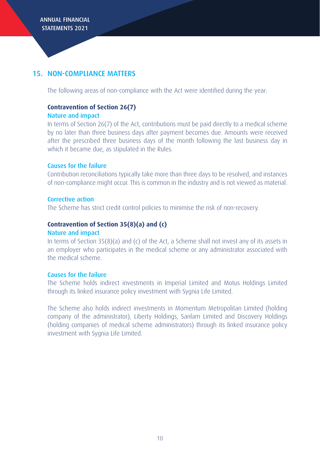# 15. NON-COMPLIANCE MATTERS

The following areas of non-compliance with the Act were identified during the year:

#### **Contravention of Section 26(7)**

#### Nature and impact

In terms of Section 26(7) of the Act, contributions must be paid directly to a medical scheme by no later than three business days after payment becomes due. Amounts were received after the prescribed three business days of the month following the last business day in which it became due, as stipulated in the Rules.

#### Causes for the failure

Contribution reconciliations typically take more than three days to be resolved, and instances of non-compliance might occur. This is common in the industry and is not viewed as material.

#### Corrective action

The Scheme has strict credit control policies to minimise the risk of non-recovery.

#### **Contravention of Section 35(8)(a) and (c)**

#### Nature and impact

In terms of Section 35(8)(a) and (c) of the Act, a Scheme shall not invest any of its assets in an employer who participates in the medical scheme or any administrator associated with the medical scheme.

#### Causes for the failure

The Scheme holds indirect investments in Imperial Limited and Motus Holdings Limited through its linked insurance policy investment with Sygnia Life Limited.

The Scheme also holds indirect investments in Momentum Metropolitan Limited (holding company of the administrator), Liberty Holdings, Sanlam Limited and Discovery Holdings (holding companies of medical scheme administrators) through its linked insurance policy investment with Sygnia Life Limited.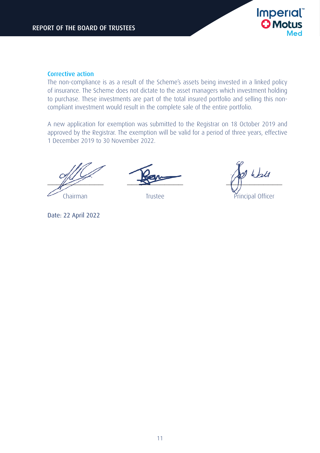

#### Corrective action

The non-compliance is as a result of the Scheme's assets being invested in a linked policy of insurance. The Scheme does not dictate to the asset managers which investment holding to purchase. These investments are part of the total insured portfolio and selling this noncompliant investment would result in the complete sale of the entire portfolio.

A new application for exemption was submitted to the Registrar on 18 October 2019 and approved by the Registrar. The exemption will be valid for a period of three years, effective 1 December 2019 to 30 November 2022.

 $\frac{1}{2}$ 

Chairman Trustee Principal Officer

Date: 22 April 2022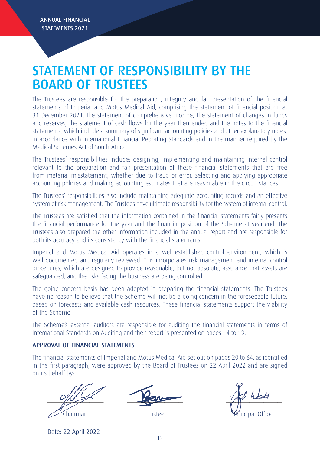# STATEMENT OF RESPONSIBILITY BY THE BOARD OF TRUSTEES

The Trustees are responsible for the preparation, integrity and fair presentation of the financial statements of Imperial and Motus Medical Aid, comprising the statement of financial position at 31 December 2021, the statement of comprehensive income, the statement of changes in funds and reserves, the statement of cash flows for the year then ended and the notes to the financial statements, which include a summary of significant accounting policies and other explanatory notes, in accordance with International Financial Reporting Standards and in the manner required by the Medical Schemes Act of South Africa.

The Trustees' responsibilities include: designing, implementing and maintaining internal control relevant to the preparation and fair presentation of these financial statements that are free from material misstatement, whether due to fraud or error, selecting and applying appropriate accounting policies and making accounting estimates that are reasonable in the circumstances.

The Trustees' responsibilities also include maintaining adequate accounting records and an effective system of risk management. The Trustees have ultimate responsibility for the system of internal control.

The Trustees are satisfied that the information contained in the financial statements fairly presents the financial performance for the year and the financial position of the Scheme at year-end. The Trustees also prepared the other information included in the annual report and are responsible for both its accuracy and its consistency with the financial statements.

Imperial and Motus Medical Aid operates in a well-established control environment, which is well documented and regularly reviewed. This incorporates risk management and internal control procedures, which are designed to provide reasonable, but not absolute, assurance that assets are safeguarded, and the risks facing the business are being controlled.

The going concern basis has been adopted in preparing the financial statements. The Trustees have no reason to believe that the Scheme will not be a going concern in the foreseeable future, based on forecasts and available cash resources. These financial statements support the viability of the Scheme.

The Scheme's external auditors are responsible for auditing the financial statements in terms of International Standards on Auditing and their report is presented on pages 14 to 19.

#### APPROVAL OF FINANCIAL STATEMENTS

The financial statements of Imperial and Motus Medical Aid set out on pages 20 to 64, as identified in the first paragraph, were approved by the Board of Trustees on 22 April 2022 and are signed on its behalf by:

Chairman Trustee **Principal Officer** 

Date: 22 April 2022

\_\_\_\_\_\_\_\_\_\_\_\_ \_\_\_\_\_\_\_\_\_\_\_\_ \_\_\_\_\_\_\_\_\_\_\_\_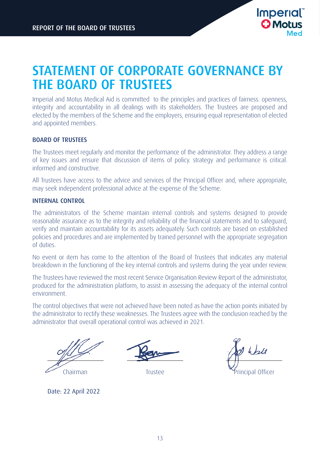# STATEMENT OF CORPORATE GOVERNANCE BY THE BOARD OF TRUSTEES

Imperial and Motus Medical Aid is committed to the principles and practices of fairness. openness, integrity and accountability in all dealings with its stakeholders. The Trustees are proposed and elected by the members of the Scheme and the employers, ensuring equal representation of elected and appointed members.

#### BOARD OF TRUSTEES

The Trustees meet regularly and monitor the performance of the administrator. They address a range of key issues and ensure that discussion of items of policy. strategy and performance is critical. informed and constructive.

All Trustees have access to the advice and services of the Principal Officer and, where appropriate, may seek independent professional advice at the expense of the Scheme.

#### INTERNAL CONTROL

The administrators of the Scheme maintain internal controls and systems designed to provide reasonable assurance as to the integrity and reliability of the financial statements and to safeguard, verify and maintain accountability for its assets adequately. Such controls are based on established policies and procedures and are implemented by trained personnel with the appropriate segregation of duties.

No event or item has come to the attention of the Board of Trustees that indicates any material breakdown in the functioning of the key internal controls and systems during the year under review.

The Trustees have reviewed the most recent Service Organisation Review Report of the administrator, produced for the administration platform, to assist in assessing the adequacy of the internal control environment.

The control objectives that were not achieved have been noted as have the action points initiated by the administrator to rectify these weaknesses. The Trustees agree with the conclusion reached by the administrator that overall operational control was achieved in 2021.

 $\frac{1}{2}$ Chairman Trustee Principal Officer

Date: 22 April 2022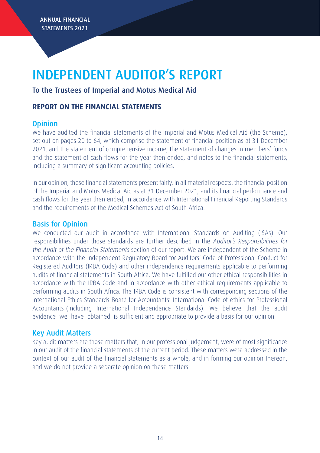# INDEPENDENT AUDITOR'S REPORT

# To the Trustees of Imperial and Motus Medical Aid

### **REPORT ON THE FINANCIAL STATEMENTS**

#### **Opinion**

We have audited the financial statements of the Imperial and Motus Medical Aid (the Scheme), set out on pages 20 to 64, which comprise the statement of financial position as at 31 December 2021, and the statement of comprehensive income, the statement of changes in members' funds and the statement of cash flows for the year then ended, and notes to the financial statements, including a summary of significant accounting policies.

In our opinion, these financial statements present fairly, in all material respects, the financial position of the Imperial and Motus Medical Aid as at 31 December 2021, and its financial performance and cash flows for the year then ended, in accordance with International Financial Reporting Standards and the requirements of the Medical Schemes Act of South Africa.

#### Basis for Opinion

We conducted our audit in accordance with International Standards on Auditing (ISAs). Our responsibilities under those standards are further described in the Auditor's Responsibilities for the Audit of the Financial Statements section of our report. We are independent of the Scheme in accordance with the Independent Regulatory Board for Auditors' Code of Professional Conduct for Registered Auditors (IRBA Code) and other independence requirements applicable to performing audits of financial statements in South Africa. We have fulfilled our other ethical responsibilities in accordance with the IRBA Code and in accordance with other ethical requirements applicable to performing audits in South Africa. The IRBA Code is consistent with corresponding sections of the International Ethics Standards Board for Accountants' International Code of ethics for Professional Accountants (including International Independence Standards). We believe that the audit evidence we have obtained is sufficient and appropriate to provide a basis for our opinion.

#### Key Audit Matters

Key audit matters are those matters that, in our professional judgement, were of most significance in our audit of the financial statements of the current period. These matters were addressed in the context of our audit of the financial statements as a whole, and in forming our opinion thereon, and we do not provide a separate opinion on these matters.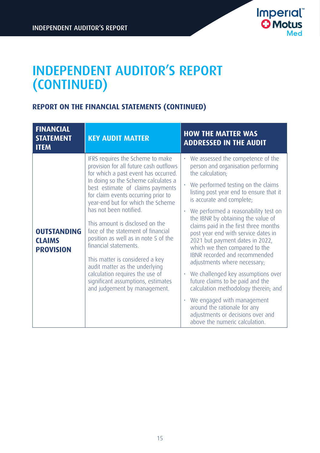# **REPORT ON THE FINANCIAL STATEMENTS (CONTINUED)**

| <b>FINANCIAL</b><br><b>STATEMENT</b><br><b>ITEM</b>     | <b>KEY AUDIT MATTER</b>                                                                                                                                                                                                                                                                                                                                                                                                                                                                                                                                                                                                     | <b>HOW THE MATTER WAS</b><br><b>ADDRESSED IN THE AUDIT</b>                                                                                                                                                                                                                                                                                                                                                                                                                                                                                                                                                                                                                                                                                                                                   |
|---------------------------------------------------------|-----------------------------------------------------------------------------------------------------------------------------------------------------------------------------------------------------------------------------------------------------------------------------------------------------------------------------------------------------------------------------------------------------------------------------------------------------------------------------------------------------------------------------------------------------------------------------------------------------------------------------|----------------------------------------------------------------------------------------------------------------------------------------------------------------------------------------------------------------------------------------------------------------------------------------------------------------------------------------------------------------------------------------------------------------------------------------------------------------------------------------------------------------------------------------------------------------------------------------------------------------------------------------------------------------------------------------------------------------------------------------------------------------------------------------------|
| <b>OUTSTANDING</b><br><b>CLAIMS</b><br><b>PROVISION</b> | IFRS requires the Scheme to make<br>provision for all future cash outflows<br>for which a past event has occurred.<br>In doing so the Scheme calculates a<br>best estimate of claims payments<br>for claim events occurring prior to<br>year-end but for which the Scheme<br>has not been notified.<br>This amount is disclosed on the<br>face of the statement of financial<br>position as well as in note 5 of the<br>financial statements.<br>This matter is considered a key<br>audit matter as the underlying<br>calculation requires the use of<br>significant assumptions, estimates<br>and judgement by management. | • We assessed the competence of the<br>person and organisation performing<br>the calculation;<br>We performed testing on the claims<br>listing post year end to ensure that it<br>is accurate and complete;<br>We performed a reasonability test on<br>$\bullet$<br>the IBNR by obtaining the value of<br>claims paid in the first three months<br>post year end with service dates in<br>2021 but payment dates in 2022,<br>which we then compared to the<br>IBNR recorded and recommended<br>adjustments where necessary;<br>We challenged key assumptions over<br>٠<br>future claims to be paid and the<br>calculation methodology therein; and<br>We engaged with management<br>٠<br>around the rationale for any<br>adjustments or decisions over and<br>above the numeric calculation. |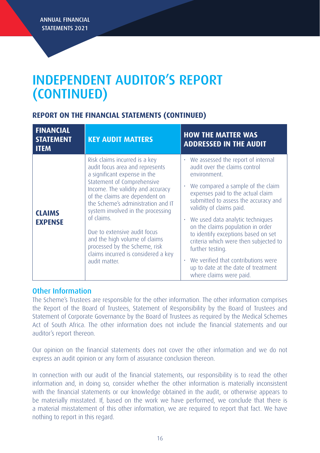## **REPORT ON THE FINANCIAL STATEMENTS (CONTINUED)**

| <b>FINANCIAL</b><br><b>STATEMENT</b><br><b>ITEM</b> | <b>KEY AUDIT MATTERS</b>                                                                                                                                                                                                                                                                                                                                                                                                                                 | <b>HOW THE MATTER WAS</b><br><b>ADDRESSED IN THE AUDIT</b>                                                                                                                                                                                                                                                                                                                                                                                                                                                                   |
|-----------------------------------------------------|----------------------------------------------------------------------------------------------------------------------------------------------------------------------------------------------------------------------------------------------------------------------------------------------------------------------------------------------------------------------------------------------------------------------------------------------------------|------------------------------------------------------------------------------------------------------------------------------------------------------------------------------------------------------------------------------------------------------------------------------------------------------------------------------------------------------------------------------------------------------------------------------------------------------------------------------------------------------------------------------|
| <b>CLAIMS</b><br><b>EXPENSE</b>                     | Risk claims incurred is a key<br>audit focus area and represents<br>a significant expense in the<br>Statement of Comprehensive<br>Income. The validity and accuracy<br>of the claims are dependent on<br>the Scheme's administration and IT<br>system involved in the processing<br>of claims.<br>Due to extensive audit focus<br>and the high volume of claims<br>processed by the Scheme, risk<br>claims incurred is considered a key<br>audit matter. | We assessed the report of internal<br>audit over the claims control<br>environment.<br>We compared a sample of the claim<br>expenses paid to the actual claim<br>submitted to assess the accuracy and<br>validity of claims paid.<br>We used data analytic techniques<br>٠<br>on the claims population in order<br>to identify exceptions based on set<br>criteria which were then subjected to<br>further testing.<br>We verified that contributions were<br>up to date at the date of treatment<br>where claims were paid. |

#### Other Information

The Scheme's Trustees are responsible for the other information. The other information comprises the Report of the Board of Trustees, Statement of Responsibility by the Board of Trustees and Statement of Corporate Governance by the Board of Trustees as required by the Medical Schemes Act of South Africa. The other information does not include the financial statements and our auditor's report thereon.

Our opinion on the financial statements does not cover the other information and we do not express an audit opinion or any form of assurance conclusion thereon.

In connection with our audit of the financial statements, our responsibility is to read the other information and, in doing so, consider whether the other information is materially inconsistent with the financial statements or our knowledge obtained in the audit, or otherwise appears to be materially misstated. If, based on the work we have performed, we conclude that there is a material misstatement of this other information, we are required to report that fact. We have nothing to report in this regard.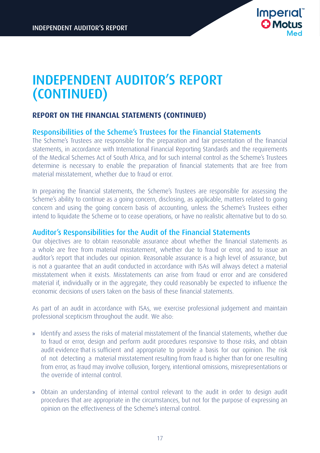

# **REPORT ON THE FINANCIAL STATEMENTS (CONTINUED)**

#### Responsibilities of the Scheme's Trustees for the Financial Statements

The Scheme's Trustees are responsible for the preparation and fair presentation of the financial statements, in accordance with International Financial Reporting Standards and the requirements of the Medical Schemes Act of South Africa, and for such internal control as the Scheme's Trustees determine is necessary to enable the preparation of financial statements that are free from material misstatement, whether due to fraud or error.

In preparing the financial statements, the Scheme's Trustees are responsible for assessing the Scheme's ability to continue as a going concern, disclosing, as applicable, matters related to going concern and using the going concern basis of accounting, unless the Scheme's Trustees either intend to liquidate the Scheme or to cease operations, or have no realistic alternative but to do so.

#### Auditor's Responsibilities for the Audit of the Financial Statements

Our objectives are to obtain reasonable assurance about whether the financial statements as a whole are free from material misstatement, whether due to fraud or error, and to issue an auditor's report that includes our opinion. Reasonable assurance is a high level of assurance, but is not a guarantee that an audit conducted in accordance with ISAs will always detect a material misstatement when it exists. Misstatements can arise from fraud or error and are considered material if, individually or in the aggregate, they could reasonably be expected to influence the economic decisions of users taken on the basis of these financial statements.

As part of an audit in accordance with ISAs, we exercise professional judgement and maintain professional scepticism throughout the audit. We also:

- » Identify and assess the risks of material misstatement of the financial statements, whether due to fraud or error, design and perform audit procedures responsive to those risks, and obtain audit evidence that is sufficient and appropriate to provide a basis for our opinion. The risk of not detecting a material misstatement resulting from fraud is higher than for one resulting from error, as fraud may involve collusion, forgery, intentional omissions, misrepresentations or the override of internal control.
- » Obtain an understanding of internal control relevant to the audit in order to design audit procedures that are appropriate in the circumstances, but not for the purpose of expressing an opinion on the effectiveness of the Scheme's internal control.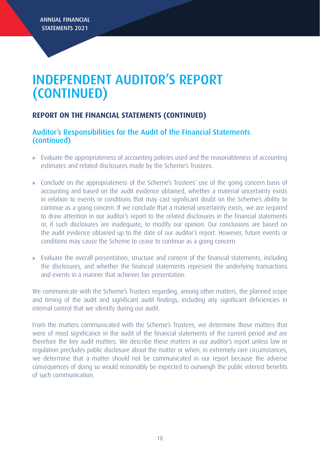# **REPORT ON THE FINANCIAL STATEMENTS (CONTINUED)**

### Auditor's Responsibilities for the Audit of the Financial Statements (continued)

- » Evaluate the appropriateness of accounting policies used and the reasonableness of accounting estimates and related disclosures made by the Scheme's Trustees.
- » Conclude on the appropriateness of the Scheme's Trustees' use of the going concern basis of accounting and based on the audit evidence obtained, whether a material uncertainty exists in relation to events or conditions that may cast significant doubt on the Scheme's ability to continue as a going concern. If we conclude that a material uncertainty exists, we are required to draw attention in our auditor's report to the related disclosures in the financial statements or, if such disclosures are inadequate, to modify our opinion. Our conclusions are based on the audit evidence obtained up to the date of our auditor's report. However, future events or conditions may cause the Scheme to cease to continue as a going concern.
- » Evaluate the overall presentation, structure and content of the financial statements, including the disclosures, and whether the financial statements represent the underlying transactions and events in a manner that achieves fair presentation.

We communicate with the Scheme's Trustees regarding, among other matters, the planned scope and timing of the audit and significant audit findings, including any significant deficiencies in internal control that we identify during our audit.

From the matters communicated with the Scheme's Trustees, we determine those matters that were of most significance in the audit of the financial statements of the current period and are therefore the key audit matters. We describe these matters in our auditor's report unless law or regulation precludes public disclosure about the matter or when, in extremely rare circumstances, we determine that a matter should not be communicated in our report because the adverse consequences of doing so would reasonably be expected to outweigh the public interest benefits of such communication.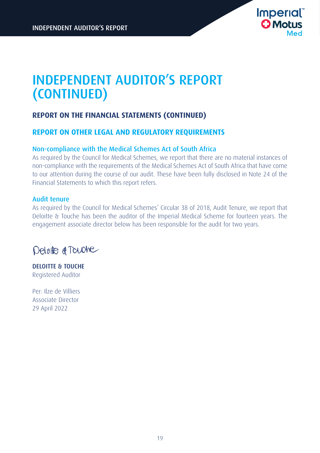

# **REPORT ON THE FINANCIAL STATEMENTS (CONTINUED)**

#### **REPORT ON OTHER LEGAL AND REGULATORY REQUIREMENTS**

#### Non-compliance with the Medical Schemes Act of South Africa

As required by the Council for Medical Schemes, we report that there are no material instances of non-compliance with the requirements of the Medical Schemes Act of South Africa that have come to our attention during the course of our audit. These have been fully disclosed in Note 24 of the Financial Statements to which this report refers.

#### Audit tenure

As required by the Council for Medical Schemes' Circular 38 of 2018, Audit Tenure, we report that Deloitte & Touche has been the auditor of the Imperial Medical Scheme for fourteen years. The engagement associate director below has been responsible for the audit for two years.



DELOITTE & TOUCHE Registered Auditor

Per: Ilze de Villiers Associate Director 29 April 2022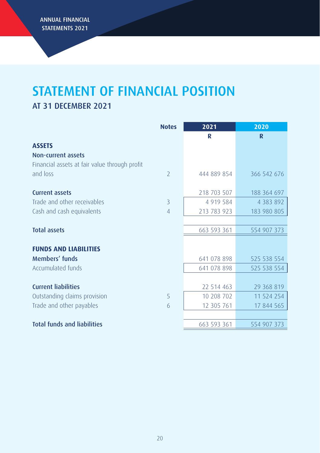# STATEMENT OF FINANCIAL POSITION AT 31 DECEMBER 2021

|                                               | <b>Notes</b>             | 2021         | 2020          |
|-----------------------------------------------|--------------------------|--------------|---------------|
|                                               |                          | R            | R             |
| <b>ASSETS</b>                                 |                          |              |               |
| Non-current assets                            |                          |              |               |
| Financial assets at fair value through profit |                          |              |               |
| and loss                                      | $\overline{\phantom{0}}$ | 444 889 854  | 366 542 676   |
|                                               |                          |              |               |
| <b>Current assets</b>                         |                          | 218 703 507  | 188 364 697   |
| Trade and other receivables                   | 3                        | 4 9 19 5 8 4 | 4 3 8 3 8 9 2 |
| Cash and cash equivalents                     | 4                        | 213 783 923  | 183 980 805   |
|                                               |                          |              |               |
| <b>Total assets</b>                           |                          | 663 593 361  | 554 907 373   |
|                                               |                          |              |               |
| <b>FUNDS AND LIABILITIES</b>                  |                          |              |               |
| Members' funds                                |                          | 641 078 898  | 525 538 554   |
| <b>Accumulated funds</b>                      |                          | 641 078 898  | 525 538 554   |
|                                               |                          |              |               |
| <b>Current liabilities</b>                    |                          | 22 514 463   | 29 368 819    |
| Outstanding claims provision                  | 5                        | 10 208 702   | 11 524 254    |
| Trade and other payables                      | 6                        | 12 305 761   | 17 844 565    |
|                                               |                          |              |               |
| <b>Total funds and liabilities</b>            |                          | 663 593 361  | 554 907 373   |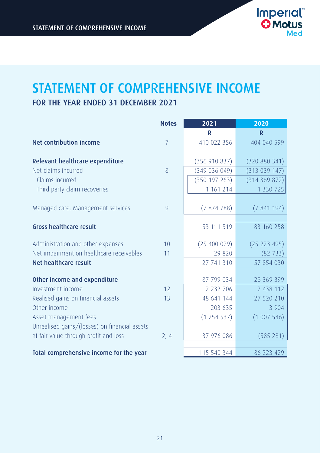# STATEMENT OF COMPREHENSIVE INCOME

# FOR THE YEAR ENDED 31 DECEMBER 2021

|                                               | <b>Notes</b>   | 2021          | 2020          |
|-----------------------------------------------|----------------|---------------|---------------|
|                                               |                | R             | R             |
| Net contribution income                       | $\overline{7}$ | 410 022 356   | 404 040 599   |
|                                               |                |               |               |
| Relevant healthcare expenditure               |                | (356910837)   | (320 880 341) |
| Net claims incurred                           | 8              | (349 036 049) | (313 039 147) |
| Claims incurred                               |                | (350 197 263) | (314369872)   |
| Third party claim recoveries                  |                | 1 161 214     | 1 3 3 0 7 2 5 |
|                                               |                |               |               |
| Managed care: Management services             | 9              | (7874788)     | (7841194)     |
|                                               |                |               |               |
| <b>Gross healthcare result</b>                |                | 53 111 519    | 83 160 258    |
|                                               |                |               |               |
| Administration and other expenses             | 10             | (25 400 029)  | (25 223 495)  |
| Net impairment on healthcare receivables      | 11             | 29 8 20       | (82733)       |
| Net healthcare result                         |                | 27 741 310    | 57 854 030    |
| Other income and expenditure                  |                | 87 799 034    | 28 369 399    |
| Investment income                             | 12             | 2 2 3 7 0 6   | 2 438 112     |
| Realised gains on financial assets            | 13             | 48 641 144    | 27 520 210    |
| Other income                                  |                | 203 635       | 3 9 0 4       |
| Asset management fees                         |                | (1254537)     | (1007546)     |
| Unrealised gains/(losses) on financial assets |                |               |               |
| at fair value through profit and loss         | 2,4            | 37 976 086    | (585 281)     |
|                                               |                |               |               |
| Total comprehensive income for the year       |                | 115 540 344   | 86 223 429    |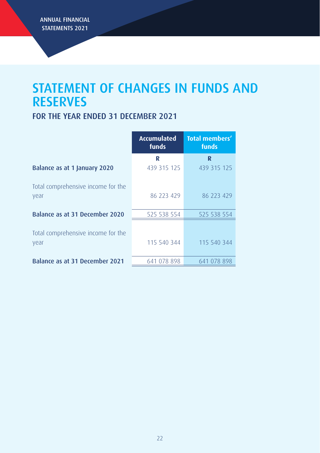# STATEMENT OF CHANGES IN FUNDS AND RESERVES

# FOR THE YEAR ENDED 31 DECEMBER 2021

|                                            | <b>Accumulated</b><br>funds | Total members'<br>funds |  |
|--------------------------------------------|-----------------------------|-------------------------|--|
|                                            | R                           | R                       |  |
| Balance as at 1 January 2020               | 439 315 125                 | 439 315 125             |  |
| Total comprehensive income for the         |                             |                         |  |
| vear                                       | 86 223 429                  | 86 223 429              |  |
| Balance as at 31 December 2020             | 525 538 554                 | 525 538 554             |  |
| Total comprehensive income for the<br>vear | 115 540 344                 | 115 540 344             |  |
| Balance as at 31 December 2021             | 641 078 898                 | 641 078 898             |  |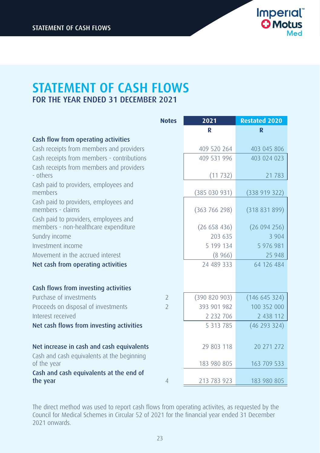# STATEMENT OF CASH FLOWS FOR THE YEAR ENDED 31 DECEMBER 2021

|                                                                               | <b>Notes</b>             | 2021          | <b>Restated 2020</b> |
|-------------------------------------------------------------------------------|--------------------------|---------------|----------------------|
|                                                                               |                          | R             | R                    |
| Cash flow from operating activities                                           |                          |               |                      |
| Cash receipts from members and providers                                      |                          | 409 520 264   | 403 045 806          |
| Cash receipts from members - contributions                                    |                          | 409 531 996   | 403 024 023          |
| Cash receipts from members and providers<br>- others                          |                          | (11 732)      | 21 7 8 3             |
| Cash paid to providers, employees and<br>members                              |                          | (385030931)   | (338919322)          |
| Cash paid to providers, employees and<br>members - claims                     |                          | (363 766 298) | (318831899)          |
| Cash paid to providers, employees and<br>members - non-healthcare expenditure |                          | (26658436)    | (26094256)           |
| Sundry income                                                                 |                          | 203 635       | 3 9 0 4              |
| Investment income                                                             |                          | 5 199 134     | 5 976 981            |
| Movement in the accrued interest                                              |                          | (8966)        | 25 948               |
| Net cash from operating activities                                            |                          | 24 489 333    | 64 126 484           |
|                                                                               |                          |               |                      |
| Cash flows from investing activities                                          |                          |               |                      |
| Purchase of investments                                                       | $\overline{\phantom{0}}$ | (390 820 903) | (146645324)          |
| Proceeds on disposal of investments                                           | $\overline{\phantom{a}}$ | 393 901 982   | 100 352 000          |
| Interest received                                                             |                          | 2 2 3 2 7 0 6 | 2 438 112            |
| Net cash flows from investing activities                                      |                          | 5 3 1 3 7 8 5 | (46 293 324)         |
|                                                                               |                          |               |                      |
| Net increase in cash and cash equivalents                                     |                          | 29 803 118    | 20 271 272           |
| Cash and cash equivalents at the beginning<br>of the year                     |                          | 183 980 805   | 163 709 533          |
| Cash and cash equivalents at the end of                                       |                          |               |                      |
| the year                                                                      | 4                        | 213 783 923   | 183 980 805          |

The direct method was used to report cash flows from operating activites, as requested by the Council for Medical Schemes in Circular 52 of 2021 for the financial year ended 31 December 2021 onwards.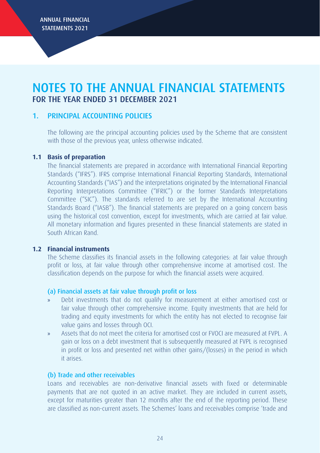# NOTES TO THE ANNUAL FINANCIAL STATEMENTS FOR THE YEAR ENDED 31 DECEMBER 2021

## 1. PRINCIPAL ACCOUNTING POLICIES

The following are the principal accounting policies used by the Scheme that are consistent with those of the previous year, unless otherwise indicated.

#### **1.1 Basis of preparation**

The financial statements are prepared in accordance with International Financial Reporting Standards ("IFRS"). IFRS comprise International Financial Reporting Standards, International Accounting Standards ("IAS") and the interpretations originated by the International Financial Reporting Interpretations Committee ("IFRIC") or the former Standards Interpretations Committee ("SIC"). The standards referred to are set by the International Accounting Standards Board ("IASB"). The financial statements are prepared on a going concern basis using the historical cost convention, except for investments, which are carried at fair value. All monetary information and figures presented in these financial statements are stated in South African Rand.

#### **1.2 Financial instruments**

The Scheme classifies its financial assets in the following categories: at fair value through profit or loss, at fair value through other comprehensive income at amortised cost. The classification depends on the purpose for which the financial assets were acquired.

#### (a) Financial assets at fair value through profit or loss

- » Debt investments that do not qualify for measurement at either amortised cost or fair value through other comprehensive income. Equity investments that are held for trading and equity investments for which the entity has not elected to recognise fair value gains and losses through OCI.
- » Assets that do not meet the criteria for amortised cost or FVOCI are measured at FVPL. A gain or loss on a debt investment that is subsequently measured at FVPL is recognised in profit or loss and presented net within other gains/(losses) in the period in which it arises.

#### (b) Trade and other receivables

Loans and receivables are non-derivative financial assets with fixed or determinable payments that are not quoted in an active market. They are included in current assets, except for maturities greater than 12 months after the end of the reporting period. These are classified as non-current assets. The Schemes' loans and receivables comprise 'trade and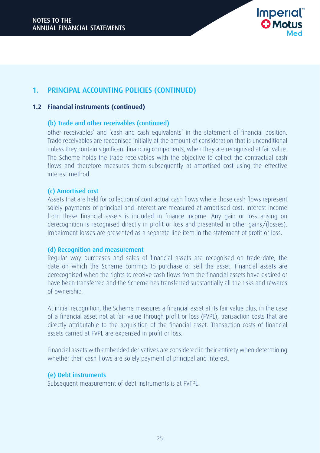

#### **1.2 Financial instruments (continued)**

#### (b) Trade and other receivables (continued)

other receivables' and 'cash and cash equivalents' in the statement of financial position. Trade receivables are recognised initially at the amount of consideration that is unconditional unless they contain significant financing components, when they are recognised at fair value. The Scheme holds the trade receivables with the objective to collect the contractual cash flows and therefore measures them subsequently at amortised cost using the effective interest method.

#### (c) Amortised cost

Assets that are held for collection of contractual cash flows where those cash flows represent solely payments of principal and interest are measured at amortised cost. Interest income from these financial assets is included in finance income. Any gain or loss arising on derecognition is recognised directly in profit or loss and presented in other gains/(losses). Impairment losses are presented as a separate line item in the statement of profit or loss.

#### (d) Recognition and measurement

Regular way purchases and sales of financial assets are recognised on trade-date, the date on which the Scheme commits to purchase or sell the asset. Financial assets are derecognised when the rights to receive cash flows from the financial assets have expired or have been transferred and the Scheme has transferred substantially all the risks and rewards of ownership.

At initial recognition, the Scheme measures a financial asset at its fair value plus, in the case of a financial asset not at fair value through profit or loss (FVPL), transaction costs that are directly attributable to the acquisition of the financial asset. Transaction costs of financial assets carried at FVPL are expensed in profit or loss.

Financial assets with embedded derivatives are considered in their entirety when determining whether their cash flows are solely payment of principal and interest.

#### (e) Debt instruments

Subsequent measurement of debt instruments is at FVTPL.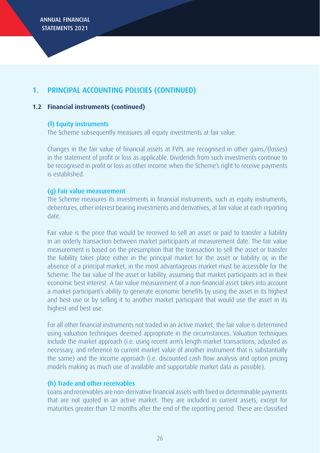#### **1.2 Financial instruments (continued)**

#### (f) Equity instruments

The Scheme subsequently measures all equity investments at fair value.

Changes in the fair value of financial assets at FVPL are recognised in other gains/(losses) in the statement of profit or loss as applicable. Dividends from such investments continue to be recognised in profit or loss as other income when the Scheme's right to receive payments is established.

#### (g) Fair value measurement

The Scheme measures its investments in financial instruments, such as equity instruments, debentures, other interest bearing investments and derivatives, at fair value at each reporting date.

Fair value is the price that would be received to sell an asset or paid to transfer a liability in an orderly transaction between market participants at measurement date. The fair value measurement is based on the presumption that the transaction to sell the asset or transfer the liability takes place either in the principal market for the asset or liability or, in the absence of a principal market, in the most advantageous market must be accessible for the Scheme. The fair value of the asset or liability, assuming that market participants act in their economic best interest. A fair value measurement of a non-financial asset takes into account a market participant's ability to generate economic benefits by using the asset in its highest and best use or by selling it to another market participant that would use the asset in its highest and best use.

For all other financial instruments not traded in an active market, the fair value is determined using valuation techniques deemed appropriate in the circumstances. Valuation techniques include the market approach (i.e. using recent arm's length market transactions, adjusted as necessary, and reference to current market value of another instrument that is substantially the same) and the income approach (i.e. discounted cash flow analysis and option pricing models making as much use of available and supportable market data as possible).

#### (h) Trade and other receivables

Loans and receivables are non-derivative financial assets with fixed or determinable payments that are not quoted in an active market. They are included in current assets, except for maturities greater than 12 months after the end of the reporting period. These are classified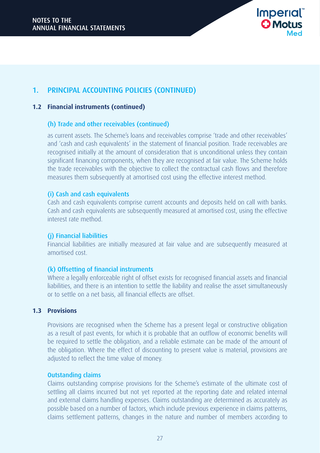

#### **1.2 Financial instruments (continued)**

#### (h) Trade and other receivables (continued)

as current assets. The Scheme's loans and receivables comprise 'trade and other receivables' and 'cash and cash equivalents' in the statement of financial position. Trade receivables are recognised initially at the amount of consideration that is unconditional unless they contain significant financing components, when they are recognised at fair value. The Scheme holds the trade receivables with the objective to collect the contractual cash flows and therefore measures them subsequently at amortised cost using the effective interest method.

#### (i) Cash and cash equivalents

Cash and cash equivalents comprise current accounts and deposits held on call with banks. Cash and cash equivalents are subsequently measured at amortised cost, using the effective interest rate method.

#### (j) Financial liabilities

Financial liabilities are initially measured at fair value and are subsequently measured at amortised cost.

#### (k) Offsetting of financial instruments

Where a legally enforceable right of offset exists for recognised financial assets and financial liabilities, and there is an intention to settle the liability and realise the asset simultaneously or to settle on a net basis, all financial effects are offset.

#### **1.3 Provisions**

Provisions are recognised when the Scheme has a present legal or constructive obligation as a result of past events, for which it is probable that an outflow of economic benefits will be required to settle the obligation, and a reliable estimate can be made of the amount of the obligation. Where the effect of discounting to present value is material, provisions are adjusted to reflect the time value of money.

#### Outstanding claims

Claims outstanding comprise provisions for the Scheme's estimate of the ultimate cost of settling all claims incurred but not yet reported at the reporting date and related internal and external claims handling expenses. Claims outstanding are determined as accurately as possible based on a number of factors, which include previous experience in claims patterns, claims settlement patterns, changes in the nature and number of members according to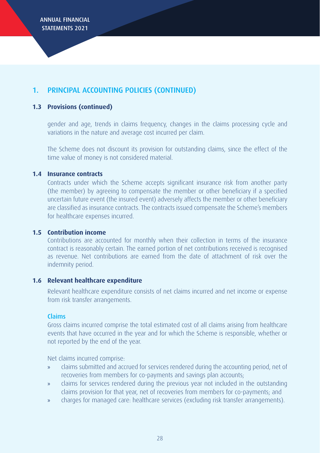#### **1.3 Provisions (continued)**

gender and age, trends in claims frequency, changes in the claims processing cycle and variations in the nature and average cost incurred per claim.

The Scheme does not discount its provision for outstanding claims, since the effect of the time value of money is not considered material.

#### **1.4 Insurance contracts**

Contracts under which the Scheme accepts significant insurance risk from another party (the member) by agreeing to compensate the member or other beneficiary if a specified uncertain future event (the insured event) adversely affects the member or other beneficiary are classified as insurance contracts. The contracts issued compensate the Scheme's members for healthcare expenses incurred.

#### **1.5 Contribution income**

Contributions are accounted for monthly when their collection in terms of the insurance contract is reasonably certain. The earned portion of net contributions received is recognised as revenue. Net contributions are earned from the date of attachment of risk over the indemnity period.

#### **1.6 Relevant healthcare expenditure**

Relevant healthcare expenditure consists of net claims incurred and net income or expense from risk transfer arrangements.

#### Claims

Gross claims incurred comprise the total estimated cost of all claims arising from healthcare events that have occurred in the year and for which the Scheme is responsible, whether or not reported by the end of the year.

Net claims incurred comprise:

- » claims submitted and accrued for services rendered during the accounting period, net of recoveries from members for co-payments and savings plan accounts;
- » claims for services rendered during the previous year not included in the outstanding claims provision for that year, net of recoveries from members for co-payments; and
- » charges for managed care: healthcare services (excluding risk transfer arrangements).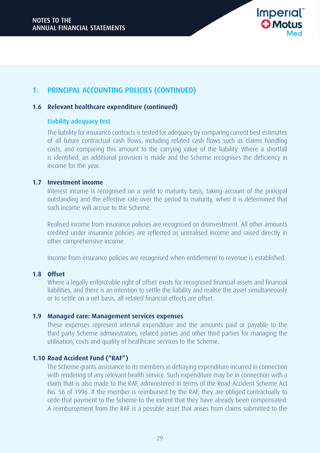

# 1. PRINCIPAL ACCOUNTING POLICIES (CONTINUED)

#### **1.6 Relevant healthcare expenditure (continued)**

#### Liability adequacy test

The liability for insurance contracts is tested for adequacy by comparing current best estimates of all future contractual cash flows, including related cash flows such as claims handling costs, and comparing this amount to the carrying value of the liability. Where a shortfall is identified, an additional provision is made and the Scheme recognises the deficiency in income for the year.

#### **1.7 Investment income**

Interest income is recognised on a yield to maturity basis, taking account of the principal outstanding and the effective rate over the period to maturity, when it is determined that such income will accrue to the Scheme.

Realised income from insurance policies are recognised on disinvestment. All other amounts credited under insurance policies are reflected as unrealised income and raised directly in other comprehensive income.

Income from insurance policies are recognised when entitlement to revenue is established.

#### **1.8 Offset**

Where a legally enforceable right of offset exists for recognised financial assets and financial liabilities, and there is an intention to settle the liability and realise the asset simultaneously or to settle on a net basis, all related financial effects are offset.

#### **1.9 Managed care: Management services expenses**

These expenses represent internal expenditure and the amounts paid or payable to the third party Scheme administrators, related parties and other third parties for managing the utilisation, costs and quality of healthcare services to the Scheme.

#### **1.10 Road Accident Fund ("RAF")**

The Scheme grants assistance to its members in defraying expenditure incurred in connection with rendering of any relevant health service. Such expenditure may be in connection with a claim that is also made to the RAF, administered in terms of the Road Accident Scheme Act No. 56 of 1996. If the member is reimbursed by the RAF, they are obliged contractually to cede that payment to the Scheme to the extent that they have already been compensated. A reimbursement from the RAF is a possible asset that arises from claims submitted to the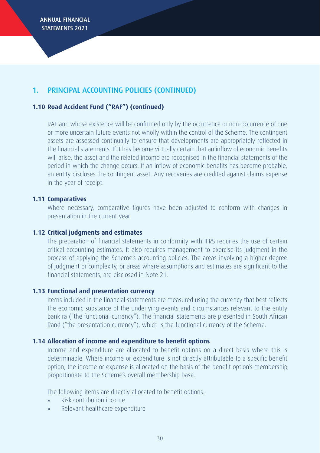# 1. PRINCIPAL ACCOUNTING POLICIES (CONTINUED)

### **1.10 Road Accident Fund ("RAF") (continued)**

RAF and whose existence will be confirmed only by the occurrence or non-occurrence of one or more uncertain future events not wholly within the control of the Scheme. The contingent assets are assessed continually to ensure that developments are appropriately reflected in the financial statements. If it has become virtually certain that an inflow of economic benefits will arise, the asset and the related income are recognised in the financial statements of the period in which the change occurs. If an inflow of economic benefits has become probable, an entity discloses the contingent asset. Any recoveries are credited against claims expense in the year of receipt.

#### **1.11 Comparatives**

Where necessary, comparative figures have been adjusted to conform with changes in presentation in the current year.

#### **1.12 Critical judgments and estimates**

The preparation of financial statements in conformity with IFRS requires the use of certain critical accounting estimates. It also requires management to exercise its judgment in the process of applying the Scheme's accounting policies. The areas involving a higher degree of judgment or complexity, or areas where assumptions and estimates are significant to the financial statements, are disclosed in Note 21.

#### **1.13 Functional and presentation currency**

Items included in the financial statements are measured using the currency that best reflects the economic substance of the underlying events and circumstances relevant to the entity bank ra ("the functional currency"). The financial statements are presented in South African Rand ("the presentation currency"), which is the functional currency of the Scheme.

#### **1.14 Allocation of income and expenditure to benefit options**

Income and expenditure are allocated to benefit options on a direct basis where this is determinable. Where income or expenditure is not directly attributable to a specific benefit option, the income or expense is allocated on the basis of the benefit option's membership proportionate to the Scheme's overall membership base.

The following items are directly allocated to benefit options:

- » Risk contribution income
- » Relevant healthcare expenditure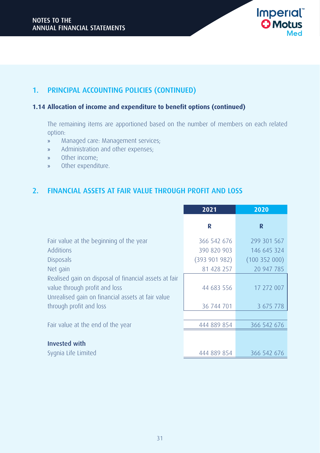

# 1. PRINCIPAL ACCOUNTING POLICIES (CONTINUED)

# **1.14 Allocation of income and expenditure to benefit options (continued)**

The remaining items are apportioned based on the number of members on each related option:

- » Managed care: Management services;
- » Administration and other expenses;
- » Other income;
- » Other expenditure.

# 2. FINANCIAL ASSETS AT FAIR VALUE THROUGH PROFIT AND LOSS

|                                                                                                                                             | 2021        | 2020        |
|---------------------------------------------------------------------------------------------------------------------------------------------|-------------|-------------|
|                                                                                                                                             | R           | R           |
| Fair value at the beginning of the year                                                                                                     | 366 542 676 | 299 301 567 |
| Additions                                                                                                                                   | 390 820 903 | 146 645 324 |
| <b>Disposals</b>                                                                                                                            | (393901982) | (100352000) |
| Net gain                                                                                                                                    | 81 428 257  | 20 947 785  |
| Realised gain on disposal of financial assets at fair<br>value through profit and loss<br>Unrealised gain on financial assets at fair value | 44 683 556  | 17 272 007  |
| through profit and loss                                                                                                                     | 36 744 701  | 3 675 778   |
|                                                                                                                                             |             |             |
| Fair value at the end of the year                                                                                                           | 444 889 854 | 366 542 676 |
| Invested with<br>Sygnia Life Limited                                                                                                        | 444 889 854 | 366 542 676 |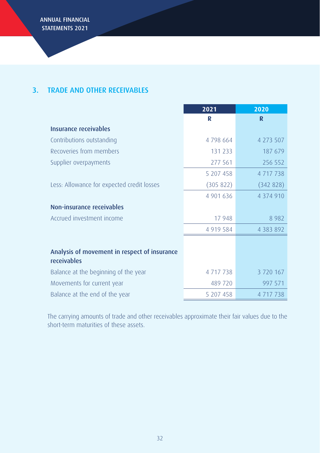# 3. TRADE AND OTHER RECEIVABLES

|                                                             | 2021         | 2020          |
|-------------------------------------------------------------|--------------|---------------|
|                                                             | R            | R             |
| Insurance receivables                                       |              |               |
| Contributions outstanding                                   | 4798664      | 4 273 507     |
| Recoveries from members                                     | 131 233      | 187 679       |
| Supplier overpayments                                       | 277 561      | 256 552       |
|                                                             | 5 207 458    | 4 717 738     |
| Less: Allowance for expected credit losses                  | (305 822)    | (342828)      |
|                                                             | 4 901 636    | 4 374 910     |
| Non-insurance receivables                                   |              |               |
| Accrued investment income                                   | 17 948       | 8 9 8 2       |
|                                                             | 4 9 19 5 8 4 | 4 3 8 3 8 9 2 |
|                                                             |              |               |
| Analysis of movement in respect of insurance<br>receivables |              |               |
| Balance at the beginning of the year                        | 4 717 738    | 3 720 167     |
| Movements for current year                                  | 489 720      | 997 571       |
| Balance at the end of the year                              | 5 207 458    | 4 717 738     |

The carrying amounts of trade and other receivables approximate their fair values due to the short-term maturities of these assets.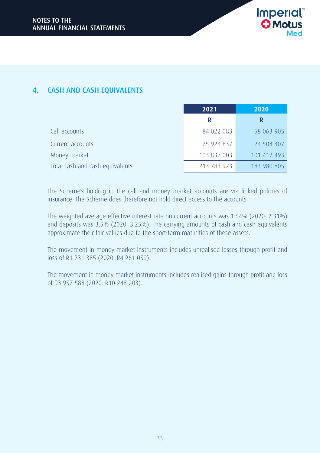

# 4. CASH AND CASH EQUIVALENTS

|                                 | 2021        | 2020        |
|---------------------------------|-------------|-------------|
|                                 | R           | R           |
| Call accounts                   | 84 022 083  | 58 063 905  |
| Current accounts                | 25 924 837  | 24 504 407  |
| Money market                    | 103 837 003 | 101 412 493 |
| Total cash and cash equivalents | 213 783 923 | 183 980 805 |

The Scheme's holding in the call and money market accounts are via linked policies of insurance. The Scheme does therefore not hold direct access to the accounts.

The weighted average effective interest rate on current accounts was 1.64% (2020: 2.31%) and deposits was 3.5% (2020: 3.25%). The carrying amounts of cash and cash equivalents approximate their fair values due to the short-term maturities of these assets.

The movement in money market instruments includes unrealised losses through profit and loss of R1 231 385 (2020: R4 261 059).

The movement in money market instruments includes realised gains through profit and loss of R3 957 588 (2020: R10 248 203).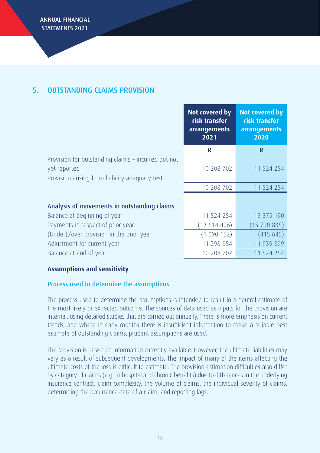# 5. OUTSTANDING CLAIMS PROVISION

|                                                     | Not covered by<br>risk transfer<br>arrangements<br>2021 | Not covered by<br>risk transfer<br>arrangements<br>2020 |
|-----------------------------------------------------|---------------------------------------------------------|---------------------------------------------------------|
|                                                     | R                                                       | R                                                       |
| Provision for outstanding claims - incurred but not |                                                         |                                                         |
| vet reported                                        | 10 208 702                                              | 11 524 254                                              |
| Provision arising from liability adequacy test      |                                                         |                                                         |
|                                                     | 10 208 702                                              | 11 524 254                                              |
|                                                     |                                                         |                                                         |
| Analysis of movements in outstanding claims         |                                                         |                                                         |
| Balance at beginning of year                        | 11 524 254                                              | 15 375 190                                              |
| Payments in respect of prior year                   | (12 614 406)                                            | (15790835)                                              |
| (Under)/over provision in the prior year            | (1090152)                                               | (415645)                                                |
| Adjustment for current year                         | 11 298 854                                              | 11 939 899                                              |
| Balance at end of year                              | 10 208 702                                              | 11 524 254                                              |

#### **Assumptions and sensitivity**

#### Process used to determine the assumptions

The process used to determine the assumptions is intended to result in a neutral estimate of the most likely or expected outcome. The sources of data used as inputs for the provision are internal, using detailed studies that are carried out annually. There is more emphasis on current trends, and where in early months there is insufficient information to make a reliable best estimate of outstanding claims, prudent assumptions are used.

The provision is based on information currently available. However, the ultimate liabilities may vary as a result of subsequent developments. The impact of many of the items affecting the ultimate costs of the loss is difficult to estimate. The provision estimation difficulties also differ by category of claims (e.g. in-hospital and chronic benefits) due to differences in the underlying insurance contract, claim complexity, the volume of claims, the individual severity of claims, determining the occurrence date of a claim, and reporting lags.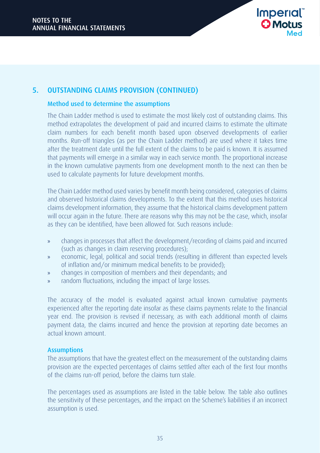

# 5. OUTSTANDING CLAIMS PROVISION (CONTINUED)

#### Method used to determine the assumptions

The Chain Ladder method is used to estimate the most likely cost of outstanding claims. This method extrapolates the development of paid and incurred claims to estimate the ultimate claim numbers for each benefit month based upon observed developments of earlier months. Run-off triangles (as per the Chain Ladder method) are used where it takes time after the treatment date until the full extent of the claims to be paid is known. It is assumed that payments will emerge in a similar way in each service month. The proportional increase in the known cumulative payments from one development month to the next can then be used to calculate payments for future development months.

The Chain Ladder method used varies by benefit month being considered, categories of claims and observed historical claims developments. To the extent that this method uses historical claims development information, they assume that the historical claims development pattern will occur again in the future. There are reasons why this may not be the case, which, insofar as they can be identified, have been allowed for. Such reasons include:

- » changes in processes that affect the development/recording of claims paid and incurred (such as changes in claim reserving procedures);
- » economic, legal, political and social trends (resulting in different than expected levels of inflation and/or minimum medical benefits to be provided);
- » changes in composition of members and their dependants; and
- » random fluctuations, including the impact of large losses.

The accuracy of the model is evaluated against actual known cumulative payments experienced after the reporting date insofar as these claims payments relate to the financial year end. The provision is revised if necessary, as with each additional month of claims payment data, the claims incurred and hence the provision at reporting date becomes an actual known amount.

#### **Assumptions**

The assumptions that have the greatest effect on the measurement of the outstanding claims provision are the expected percentages of claims settled after each of the first four months of the claims run-off period, before the claims turn stale.

The percentages used as assumptions are listed in the table below. The table also outlines the sensitivity of these percentages, and the impact on the Scheme's liabilities if an incorrect assumption is used.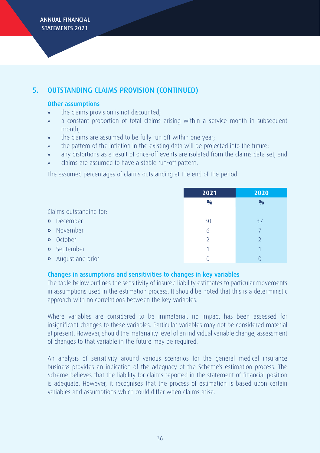# 5. OUTSTANDING CLAIMS PROVISION (CONTINUED)

#### Other assumptions

- » the claims provision is not discounted;
- » a constant proportion of total claims arising within a service month in subsequent month;
- » the claims are assumed to be fully run off within one year;
- » the pattern of the inflation in the existing data will be projected into the future;
- » any distortions as a result of once-off events are isolated from the claims data set; and
- » claims are assumed to have a stable run-off pattern.

The assumed percentages of claims outstanding at the end of the period:

|                            |                         | 2021          | 2020          |
|----------------------------|-------------------------|---------------|---------------|
|                            |                         | $\frac{0}{0}$ | $\frac{0}{0}$ |
|                            | Claims outstanding for: |               |               |
| $\mathcal{V}$              | December                | 30            | 37            |
|                            | » November              | 6             |               |
| $\mathcal{V}$              | October                 | 2             |               |
|                            | » September             | 1.            |               |
| $\boldsymbol{\mathcal{V}}$ | August and prior        | 0             |               |

#### Changes in assumptions and sensitivities to changes in key variables

The table below outlines the sensitivity of insured liability estimates to particular movements in assumptions used in the estimation process. It should be noted that this is a deterministic approach with no correlations between the key variables.

Where variables are considered to be immaterial, no impact has been assessed for insignificant changes to these variables. Particular variables may not be considered material at present. However, should the materiality level of an individual variable change, assessment of changes to that variable in the future may be required.

An analysis of sensitivity around various scenarios for the general medical insurance business provides an indication of the adequacy of the Scheme's estimation process. The Scheme believes that the liability for claims reported in the statement of financial position is adequate. However, it recognises that the process of estimation is based upon certain variables and assumptions which could differ when claims arise.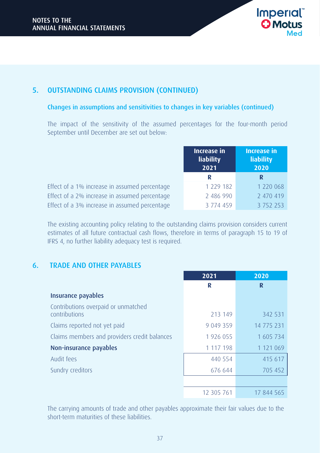

## 5. OUTSTANDING CLAIMS PROVISION (CONTINUED)

### Changes in assumptions and sensitivities to changes in key variables (continued)

The impact of the sensitivity of the assumed percentages for the four-month period September until December are set out below:

|                                               | Increase in<br><b>liability</b><br>2021 | <b>Increase in</b><br><b>liability</b><br>2020 |
|-----------------------------------------------|-----------------------------------------|------------------------------------------------|
|                                               | R                                       | R                                              |
| Effect of a 1% increase in assumed percentage | 1 229 182                               | 1 2 2 0 0 6 8                                  |
| Effect of a 2% increase in assumed percentage | 2 486 990                               | 2 470 419                                      |
| Effect of a 3% increase in assumed percentage | 3 774 459                               | 3 7 5 2 2 5 3                                  |

The existing accounting policy relating to the outstanding claims provision considers current estimates of all future contractual cash flows, therefore in terms of paragraph 15 to 19 of IFRS 4, no further liability adequacy test is required.

### 6. TRADE AND OTHER PAYABLES

|                                              | 2021          | 2020       |
|----------------------------------------------|---------------|------------|
|                                              | R             | R          |
| Insurance payables                           |               |            |
| Contributions overpaid or unmatched          |               |            |
| contributions                                | 213 149       | 342 531    |
| Claims reported not yet paid                 | 9 049 359     | 14 775 231 |
| Claims members and providers credit balances | 1 9 2 6 0 5 5 | 1 605 734  |
| Non-insurance payables                       | 1 117 198     | 1 121 069  |
| Audit fees                                   | 440 554       | 415 617    |
| Sundry creditors                             | 676 644       | 705 452    |
|                                              |               |            |
|                                              | 12 305 761    | 17 844 565 |

The carrying amounts of trade and other payables approximate their fair values due to the short-term maturities of these liabilities.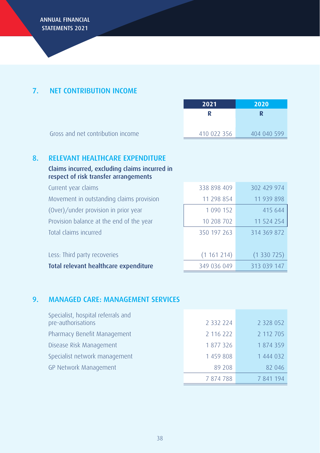# 7. NET CONTRIBUTION INCOME

|                                   | 2021        | 2020        |
|-----------------------------------|-------------|-------------|
|                                   |             | R           |
|                                   |             |             |
| Gross and net contribution income | 410 022 356 | 404 040 599 |

# 8. RELEVANT HEALTHCARE EXPENDITURE

Claims incurred, excluding claims incurred in respect of risk transfer arrangements

| Current year claims                      | 338 898 409 | 302 429 974 |
|------------------------------------------|-------------|-------------|
| Movement in outstanding claims provision | 11 298 854  | 11 939 898  |
| (Over)/under provision in prior year     | 1 090 152   | 415 644     |
| Provision balance at the end of the year | 10 208 702  | 11 524 254  |
| Total claims incurred                    | 350 197 263 | 314 369 872 |
|                                          |             |             |
| Less: Third party recoveries             | (1161214)   | (1330725)   |
| Total relevant healthcare expenditure    | 349 036 049 | 313 039 147 |

# 9. MANAGED CARE: MANAGEMENT SERVICES

| Specialist, hospital referrals and<br>pre-authorisations | 2 332 224 | 2 3 2 8 0 5 2 |
|----------------------------------------------------------|-----------|---------------|
| Pharmacy Benefit Management                              | 2 116 222 | 2 112 705     |
| Disease Risk Management                                  | 1 877 326 | 1 874 359     |
| Specialist network management                            | 1459808   | 1 444 032     |
| GP Network Management                                    | 89 208    | 82 046        |
|                                                          | 7 874 788 |               |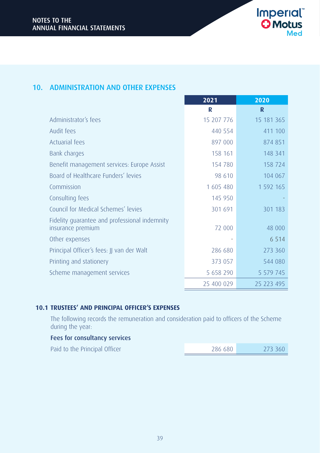

# 10. ADMINISTRATION AND OTHER EXPENSES

|                                                                    | 2021       | 2020       |
|--------------------------------------------------------------------|------------|------------|
|                                                                    | R          | R          |
| Administrator's fees                                               | 15 207 776 | 15 181 365 |
| Audit fees                                                         | 440 554    | 411 100    |
| Actuarial fees                                                     | 897 000    | 874 851    |
| Bank charges                                                       | 158 161    | 148 341    |
| Benefit management services: Europe Assist                         | 154 780    | 158 724    |
| Board of Healthcare Funders' levies                                | 98 610     | 104 067    |
| Commission                                                         | 1605480    | 1 592 165  |
| Consulting fees                                                    | 145 950    |            |
| Council for Medical Schemes' levies                                | 301 691    | 301 183    |
| Fidelity quarantee and professional indemnity<br>insurance premium | 72 000     | 48 000     |
| Other expenses                                                     |            | 6 5 1 4    |
| Principal Officer's fees: II van der Walt                          | 286 680    | 273 360    |
| Printing and stationery                                            | 373 057    | 544 080    |
| Scheme management services                                         | 5 658 290  | 5 579 745  |
|                                                                    | 25 400 029 | 25 223 495 |

### **10.1 TRUSTEES' AND PRINCIPAL OFFICER'S EXPENSES**

The following records the remuneration and consideration paid to officers of the Scheme during the year:

## Fees for consultancy services

| Paid to the Principal Officer | 286 680 | 273 360 |
|-------------------------------|---------|---------|
|-------------------------------|---------|---------|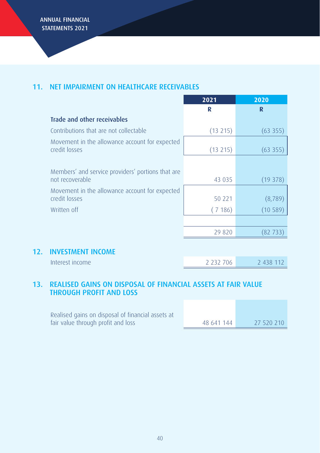$12.$ 

# 11. NET IMPAIRMENT ON HEALTHCARE RECEIVABLES

|                                                                      | 2021          | 2020      |
|----------------------------------------------------------------------|---------------|-----------|
|                                                                      | R             | R         |
| Trade and other receivables                                          |               |           |
| Contributions that are not collectable                               | (13 215)      | (63355)   |
| Movement in the allowance account for expected<br>credit losses      | (13 215)      | (63355)   |
|                                                                      |               |           |
| Members' and service providers' portions that are<br>not recoverable | 43 0 35       | (19378)   |
| Movement in the allowance account for expected<br>credit losses      | 50 221        | (8, 789)  |
| Written off                                                          | (7186)        | (10589)   |
|                                                                      |               |           |
|                                                                      | 29 8 20       | (82 733)  |
|                                                                      |               |           |
| <b>INVESTMENT INCOME</b>                                             |               |           |
| Interest income                                                      | 2 2 3 2 7 0 6 | 2 438 112 |

### 13. REALISED GAINS ON DISPOSAL OF FINANCIAL ASSETS AT FAIR VALUE THROUGH PROFIT AND LOSS

| Realised gains on disposal of financial assets at |            |            |
|---------------------------------------------------|------------|------------|
| fair value through profit and loss                | 48 641 144 | 27 520 210 |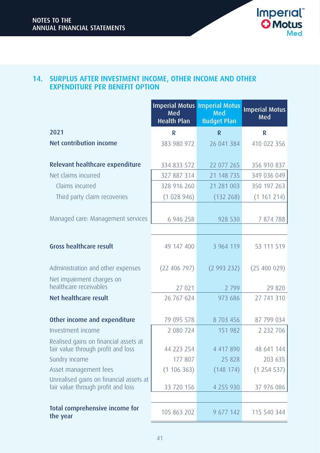### 14. SURPLUS AFTER INVESTMENT INCOME, OTHER INCOME AND OTHER EXPENDITURE PER BENEFIT OPTION

|                                                                               | <b>Imperial Motus Imperial Motus</b><br>Med<br><b>Health Plan</b> | Med<br><b>Budget Plan</b> | <b>Imperial Motus</b><br>Med |
|-------------------------------------------------------------------------------|-------------------------------------------------------------------|---------------------------|------------------------------|
| 2021                                                                          | R                                                                 | R.                        | R                            |
| <b>Net contribution income</b>                                                | 383 980 972                                                       | 26 041 384                | 410 022 356                  |
|                                                                               |                                                                   |                           |                              |
| Relevant healthcare expenditure                                               | 334 833 572                                                       | 22 077 265                | 356 910 837                  |
| Net claims incurred                                                           | 327 887 314                                                       | 21 148 735                | 349 036 049                  |
| Claims incurred                                                               | 328 916 260                                                       | 21 281 003                | 350 197 263                  |
| Third party claim recoveries                                                  | (1028946)                                                         | (132 268)                 | (1161214)                    |
|                                                                               |                                                                   |                           |                              |
| Managed care: Management services                                             | 6 946 258                                                         | 928 530                   | 7874788                      |
|                                                                               |                                                                   |                           |                              |
| <b>Gross healthcare result</b>                                                | 49 147 400                                                        | 3 964 119                 | 53 111 519                   |
| Administration and other expenses                                             | (22406797)                                                        | (2993232)                 | (25 400 029)                 |
| Net impairment charges on<br>healthcare receivables                           | 27 021                                                            | 2 7 9 9                   | 29 8 20                      |
| Net healthcare result                                                         | 26 767 624                                                        | 973 686                   | 27 741 310                   |
| Other income and expenditure                                                  | 79 095 578                                                        | 8 703 456                 | 87 799 034                   |
| Investment income                                                             | 2 080 724                                                         | 151 982                   | 2 2 3 2 7 0 6                |
| Realised gains on financial assets at<br>fair value through profit and loss   | 44 223 254                                                        | 4 4 1 7 8 9 0             | 48 641 144                   |
| Sundry income                                                                 | 177 807                                                           | 25 828                    | 203 635                      |
| Asset management fees                                                         | (1106363)                                                         | (148174)                  | (1254537)                    |
| Unrealised gains on financial assets at<br>fair value through profit and loss | 33 720 156                                                        | 4 255 930                 | 37 976 086                   |
|                                                                               |                                                                   |                           |                              |
| Total comprehensive income for<br>the year                                    | 105 863 202                                                       | 9 677 142                 | 115 540 344                  |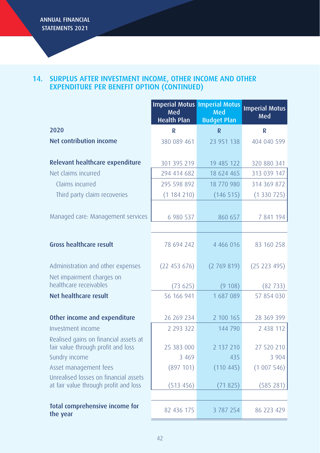### 14. SURPLUS AFTER INVESTMENT INCOME, OTHER INCOME AND OTHER EXPENDITURE PER BENEFIT OPTION (CONTINUED)

|                                                                                | Imperial Motus<br>Med<br><b>Health Plan</b> | <b>Imperial Motus</b><br>Med<br><b>Budget Plan</b> | <b>Imperial Motus</b><br>Med |
|--------------------------------------------------------------------------------|---------------------------------------------|----------------------------------------------------|------------------------------|
| 2020                                                                           | R                                           | R.                                                 | R                            |
| Net contribution income                                                        | 380 089 461                                 | 23 951 138                                         | 404 040 599                  |
| Relevant healthcare expenditure                                                | 301 395 219                                 | 19 485 122                                         | 320 880 341                  |
| Net claims incurred                                                            | 294 414 682                                 | 18 624 465                                         | 313 039 147                  |
| Claims incurred                                                                | 295 598 892                                 | 18 770 980                                         | 314 369 872                  |
| Third party claim recoveries                                                   | (1184210)                                   | (146 515)                                          | (1330725)                    |
|                                                                                |                                             |                                                    |                              |
| Managed care: Management services                                              | 6 980 537                                   | 860 657                                            | 7 841 194                    |
|                                                                                |                                             |                                                    |                              |
| <b>Gross healthcare result</b>                                                 | 78 694 242                                  | 4 4 6 6 0 1 6                                      | 83 160 258                   |
| Administration and other expenses                                              | (22453676)                                  | (2769819)                                          | (25 223 495)                 |
| Net impairment charges on<br>healthcare receivables                            | (73625)                                     | (9 108)                                            | (82733)                      |
| Net healthcare result                                                          | 56 166 941                                  | 1687089                                            | 57 854 030                   |
|                                                                                |                                             |                                                    |                              |
| Other income and expenditure                                                   | 26 269 234                                  | 2 100 165                                          | 28 369 399                   |
| Investment income                                                              | 2 293 322                                   | 144 790                                            | 2 438 112                    |
| Realised gains on financial assets at<br>fair value through profit and loss    | 25 383 000                                  | 2 137 210                                          | 27 520 210                   |
| Sundry income                                                                  | 3 4 6 9                                     | 435                                                | 3 9 0 4                      |
| Asset management fees                                                          | (897101)                                    | (110 445)                                          | (1007546)                    |
| Unrealised losses on financial assets<br>at fair value through profit and loss | (513 456)                                   | (71825)                                            | (585 281)                    |
|                                                                                |                                             |                                                    |                              |
| Total comprehensive income for<br>the year                                     | 82 436 175                                  | 3 787 254                                          | 86 223 429                   |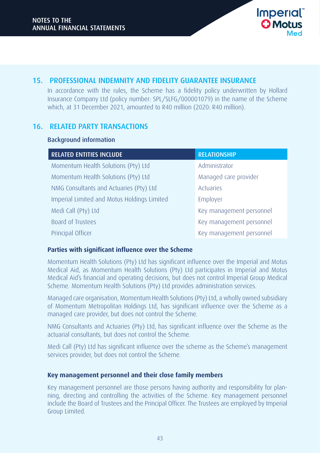### 15. PROFESSIONAL INDEMNITY AND FIDELITY GUARANTEE INSURANCE

In accordance with the rules, the Scheme has a fidelity policy underwritten by Hollard Insurance Company Ltd (policy number: SPL/SLFG/000001079) in the name of the Scheme which, at 31 December 2021, amounted to R40 million (2020: R40 million).

### 16. RELATED PARTY TRANSACTIONS

#### Background information

| <b>RELATED ENTITIES INCLUDE</b>             | <b>RELATIONSHIP</b>      |
|---------------------------------------------|--------------------------|
| Momentum Health Solutions (Pty) Ltd         | Administrator            |
| Momentum Health Solutions (Pty) Ltd         | Managed care provider    |
| NMG Consultants and Actuaries (Pty) Ltd     | <b>Actuaries</b>         |
| Imperial Limited and Motus Holdings Limited | Employer                 |
| Medi Call (Pty) Ltd                         | Key management personnel |
| Board of Trustees                           | Key management personnel |
| Principal Officer                           | Key management personnel |

#### **Parties with significant influence over the Scheme**

Momentum Health Solutions (Pty) Ltd has significant influence over the Imperial and Motus Medical Aid, as Momentum Health Solutions (Pty) Ltd participates in Imperial and Motus Medical Aid's financial and operating decisions, but does not control Imperial Group Medical Scheme. Momentum Health Solutions (Pty) Ltd provides administration services.

Managed care organisation, Momentum Health Solutions (Pty) Ltd, a wholly owned subsidiary of Momentum Metropolitan Holdings Ltd, has significant influence over the Scheme as a managed care provider, but does not control the Scheme.

NMG Consultants and Actuaries (Pty) Ltd, has significant influence over the Scheme as the actuarial consultants, but does not control the Scheme.

Medi Call (Pty) Ltd has significant influence over the scheme as the Scheme's management services provider, but does not control the Scheme.

#### **Key management personnel and their close family members**

Key management personnel are those persons having authority and responsibility for planning, directing and controlling the activities of the Scheme. Key management personnel include the Board of Trustees and the Principal Officer. The Trustees are employed by Imperial Group Limited.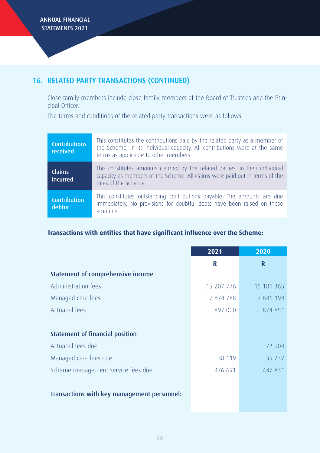# 16. RELATED PARTY TRANSACTIONS (CONTINUED)

Close family members include close family members of the Board of Trustees and the Principal Officer.

The terms and conditions of the related party transactions were as follows:

| <b>Contributions</b><br>received | This constitutes the contributions paid by the related party as a member of<br>the Scheme, in its individual capacity. All contributions were at the same<br>terms as applicable to other members. |
|----------------------------------|----------------------------------------------------------------------------------------------------------------------------------------------------------------------------------------------------|
| <b>Claims</b><br>incurred        | This constitutes amounts claimed by the related parties, in their individual<br>capacity as members of the Scheme. All claims were paid out in terms of the<br>rules of the Scheme.                |
| <b>Contribution</b><br>debtor    | This constitutes outstanding contributions payable. The amounts are due<br>immediately. No provisions for doubtful debts have been raised on these<br>amounts.                                     |

# **Transactions with entities that have significant influence over the Scheme:**

|                                             | 2021       | 2020       |
|---------------------------------------------|------------|------------|
|                                             | R          | R          |
| Statement of comprehensive income           |            |            |
| Administration fees                         | 15 207 776 | 15 181 365 |
| Managed care fees                           | 7874788    | 7 841 194  |
| Actuarial fees                              | 897 000    | 874 851    |
|                                             |            |            |
| Statement of financial position             |            |            |
| Actuarial fees due                          |            | 72 904     |
| Managed care fees due                       | 38 119     | 35 237     |
| Scheme management service fees due          | 476 691    | 447831     |
|                                             |            |            |
| Transactions with key management personnel: |            |            |
|                                             |            |            |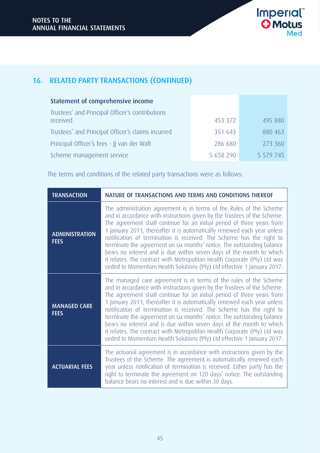# 16. RELATED PARTY TRANSACTIONS (CONTINUED)

| Statement of comprehensive income                           |           |           |
|-------------------------------------------------------------|-----------|-----------|
| Trustees' and Principal Officer's contributions<br>received | 453 372   | 495 880   |
| Trustees' and Principal Officer's claims incurred           | 351 643   | 880 463   |
| Principal Officer's fees - JJ van der Walt                  | 286 680   | 273 360   |
| Scheme management service                                   | 5 658 290 | 5 579 745 |

The terms and conditions of the related party transactions were as follows:

| <b>TRANSACTION</b>                   | NATURE OF TRANSACTIONS AND TERMS AND CONDITIONS THEREOF                                                                                                                                                                                                                                                                                                                                                                                                                                                                                                                                                                                                                               |
|--------------------------------------|---------------------------------------------------------------------------------------------------------------------------------------------------------------------------------------------------------------------------------------------------------------------------------------------------------------------------------------------------------------------------------------------------------------------------------------------------------------------------------------------------------------------------------------------------------------------------------------------------------------------------------------------------------------------------------------|
| <b>ADMINISTRATION</b><br><b>FEES</b> | The administration agreement is in terms of the Rules of the Scheme<br>and in accordance with instructions given by the Trustees of the Scheme.<br>The agreement shall continue for an initial period of three years from<br>1 January 2011; thereafter it is automatically renewed each year unless<br>notification of termination is received. The Scheme has the right to<br>terminate the agreement on six months' notice. The outstanding balance<br>bears no interest and is due within seven days of the month to which<br>it relates. The contract with Metropolitan Health Corporate (Pty) Ltd was<br>ceded to Momentum Health Solutions (Pty) Ltd effective 1 January 2017. |
| <b>MANAGED CARE</b><br><b>FFFS</b>   | The managed care agreement is in terms of the rules of the Scheme<br>and in accordance with instructions given by the Trustees of the Scheme.<br>The agreement shall continue for an initial period of three years from<br>1 January 2011; thereafter it is automatically renewed each year unless<br>notification of termination is received. The Scheme has the right to<br>terminate the agreement on six months' notice. The outstanding balance<br>bears no interest and is due within seven days of the month to which<br>it relates. The contract with Metropolitan Health Corporate (Pty) Ltd was<br>ceded to Momentum Health Solutions (Pty) Ltd effective 1 January 2017.   |
| <b>ACTUARIAL FEES</b>                | The actuarial agreement is in accordance with instructions given by the<br>Trustees of the Scheme. The agreement is automatically renewed each<br>year unless notification of termination is received. Either party has the<br>right to terminate the agreement on 120 days' notice. The outstanding<br>balance bears no interest and is due within 30 days.                                                                                                                                                                                                                                                                                                                          |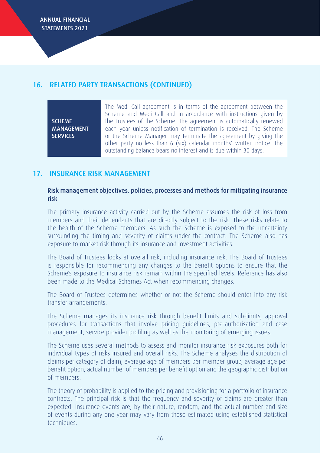### 16. RELATED PARTY TRANSACTIONS (CONTINUED)

**SCHEME** MANAGEMENT **SERVICES** 

The Medi Call agreement is in terms of the agreement between the Scheme and Medi Call and in accordance with instructions given by the Trustees of the Scheme. The agreement is automatically renewed each year unless notification of termination is received. The Scheme or the Scheme Manager may terminate the agreement by giving the other party no less than 6 (six) calendar months' written notice. The outstanding balance bears no interest and is due within 30 days.

### 17. INSURANCE RISK MANAGEMENT

#### Risk management objectives, policies, processes and methods for mitigating insurance risk

The primary insurance activity carried out by the Scheme assumes the risk of loss from members and their dependants that are directly subject to the risk. These risks relate to the health of the Scheme members. As such the Scheme is exposed to the uncertainty surrounding the timing and severity of claims under the contract. The Scheme also has exposure to market risk through its insurance and investment activities.

The Board of Trustees looks at overall risk, including insurance risk. The Board of Trustees is responsible for recommending any changes to the benefit options to ensure that the Scheme's exposure to insurance risk remain within the specified levels. Reference has also been made to the Medical Schemes Act when recommending changes.

The Board of Trustees determines whether or not the Scheme should enter into any risk transfer arrangements.

The Scheme manages its insurance risk through benefit limits and sub-limits, approval procedures for transactions that involve pricing guidelines, pre-authorisation and case management, service provider profiling as well as the monitoring of emerging issues.

The Scheme uses several methods to assess and monitor insurance risk exposures both for individual types of risks insured and overall risks. The Scheme analyses the distribution of claims per category of claim, average age of members per member group, average age per benefit option, actual number of members per benefit option and the geographic distribution of members.

The theory of probability is applied to the pricing and provisioning for a portfolio of insurance contracts. The principal risk is that the frequency and severity of claims are greater than expected. Insurance events are, by their nature, random, and the actual number and size of events during any one year may vary from those estimated using established statistical techniques.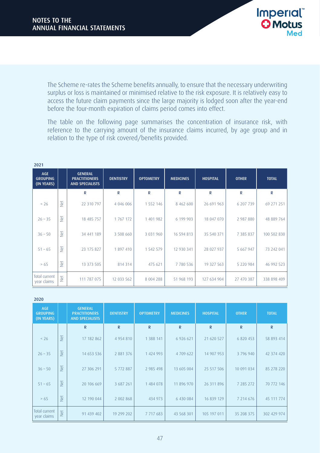

The Scheme re-rates the Scheme benefits annually, to ensure that the necessary underwriting surplus or loss is maintained or minimised relative to the risk exposure. It is relatively easy to access the future claim payments since the large majority is lodged soon after the year-end before the four-month expiration of claims period comes into effect.

The table on the following page summarises the concentration of insurance risk, with reference to the carrying amount of the insurance claims incurred, by age group and in relation to the type of risk covered/benefits provided.

| 2021                                 |               |                                                                  |                  |                  |                  |                 |               |              |
|--------------------------------------|---------------|------------------------------------------------------------------|------------------|------------------|------------------|-----------------|---------------|--------------|
| AGE<br><b>GROUPING</b><br>(IN YEARS) |               | <b>GENERAL</b><br><b>PRACTITIONERS</b><br><b>AND SPECIALISTS</b> | <b>DENTISTRY</b> | <b>OPTOMETRY</b> | <b>MEDICINES</b> | <b>HOSPITAL</b> | <b>OTHER</b>  | <b>TOTAL</b> |
|                                      |               | R                                                                | R                | R                | R                | R               | R             | R            |
| $\leq 26$                            | ğ             | 22 310 797                                                       | 4 046 006        | 1 552 146        | 8 462 600        | 26 691 963      | 6 207 739     | 69 271 251   |
| $26 - 35$                            | ğ             | 18 485 757                                                       | 1 767 172        | 1 401 982        | 6 199 903        | 18 047 070      | 2 987 880     | 48 889 764   |
| $36 - 50$                            | $\frac{1}{2}$ | 34 441 189                                                       | 3 508 660        | 3 031 960        | 16 594 813       | 35 540 371      | 7 3 8 5 8 3 7 | 100 502 830  |
| $51 - 65$                            | ğ             | 23 175 827                                                       | 1897410          | 1 542 579        | 12 930 341       | 28 027 937      | 5 667 947     | 73 242 041   |
| >65                                  | <b>Net</b>    | 13 373 505                                                       | 814 314          | 475 621          | 7 780 536        | 19 327 563      | 5 220 984     | 46 992 523   |
| Total current<br>year claims         | <b>Del</b>    | 111 787 075                                                      | 12 033 562       | 8 004 288        | 51 968 193       | 127 634 904     | 27 470 387    | 338 898 409  |

2020 AGE GROUPING (IN YEARS) GENERAL **PRACTITIONERS** AND SPECIALISTS DENTISTRY OPTOMETRY MEDICINES HOSPITAL OTHER TOTAL R | R | R | R | R | R  $36$ Net 17 182 862 | 4954 810 | 1388 141 | 6926 621 | 21 620 527 | 6820 453 | 58 893 414  $26 - 35$ Net 14 653 536 | 2 881 376 | 1 424 993 | 4 709 622 | 14 907 953 | 3 796 940 | 42 374 420  $36 - 50$ Net 27 306 291 | 5 772 887 | 2 985 498 | 13 605 004 | 25 517 506 | 10 091 034 | 85 278 220 51 – 65 Net 20 106 669 | 3 687 261 | 1 484 078 | 11 896 970 | 26 311 896 | 7 285 272 | 70 772 146 > 65 Net 12 190 044 2 002 868 434 973 6 430 084 16 839 129 7 214 676 45 111 774 Total current year claims Net 91 439 402 | 19 299 202 | 7 717 683 | 43 568 301 | 105 197 011 | 35 208 375 | 302 429 974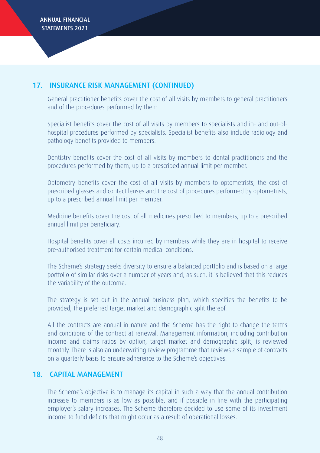### 17. INSURANCE RISK MANAGEMENT (CONTINUED)

General practitioner benefits cover the cost of all visits by members to general practitioners and of the procedures performed by them.

Specialist benefits cover the cost of all visits by members to specialists and in- and out-ofhospital procedures performed by specialists. Specialist benefits also include radiology and pathology benefits provided to members.

Dentistry benefits cover the cost of all visits by members to dental practitioners and the procedures performed by them, up to a prescribed annual limit per member.

Optometry benefits cover the cost of all visits by members to optometrists, the cost of prescribed glasses and contact lenses and the cost of procedures performed by optometrists, up to a prescribed annual limit per member.

Medicine benefits cover the cost of all medicines prescribed to members, up to a prescribed annual limit per beneficiary.

Hospital benefits cover all costs incurred by members while they are in hospital to receive pre-authorised treatment for certain medical conditions.

The Scheme's strategy seeks diversity to ensure a balanced portfolio and is based on a large portfolio of similar risks over a number of years and, as such, it is believed that this reduces the variability of the outcome.

The strategy is set out in the annual business plan, which specifies the benefits to be provided, the preferred target market and demographic split thereof.

All the contracts are annual in nature and the Scheme has the right to change the terms and conditions of the contract at renewal. Management information, including contribution income and claims ratios by option, target market and demographic split, is reviewed monthly. There is also an underwriting review programme that reviews a sample of contracts on a quarterly basis to ensure adherence to the Scheme's objectives.

### 18. CAPITAL MANAGEMENT

The Scheme's objective is to manage its capital in such a way that the annual contribution increase to members is as low as possible, and if possible in line with the participating employer's salary increases. The Scheme therefore decided to use some of its investment income to fund deficits that might occur as a result of operational losses.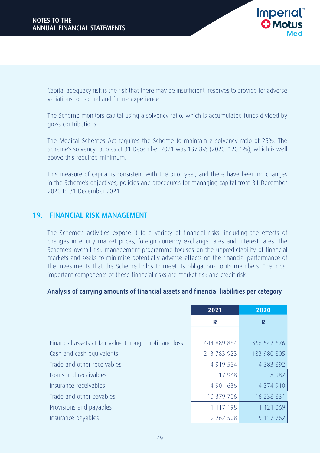

Capital adequacy risk is the risk that there may be insufficient reserves to provide for adverse variations on actual and future experience.

The Scheme monitors capital using a solvency ratio, which is accumulated funds divided by gross contributions.

The Medical Schemes Act requires the Scheme to maintain a solvency ratio of 25%. The Scheme's solvency ratio as at 31 December 2021 was 137.8% (2020: 120.6%), which is well above this required minimum.

This measure of capital is consistent with the prior year, and there have been no changes in the Scheme's objectives, policies and procedures for managing capital from 31 December 2020 to 31 December 2021.

### 19. FINANCIAL RISK MANAGEMENT

The Scheme's activities expose it to a variety of financial risks, including the effects of changes in equity market prices, foreign currency exchange rates and interest rates. The Scheme's overall risk management programme focuses on the unpredictability of financial markets and seeks to minimise potentially adverse effects on the financial performance of the investments that the Scheme holds to meet its obligations to its members. The most important components of these financial risks are market risk and credit risk.

#### Analysis of carrying amounts of financial assets and financial liabilities per category

|                                                        | 2021         | 2020          |
|--------------------------------------------------------|--------------|---------------|
|                                                        | R            | R             |
|                                                        |              |               |
| Financial assets at fair value through profit and loss | 444 889 854  | 366 542 676   |
| Cash and cash equivalents                              | 213 783 923  | 183 980 805   |
| Trade and other receivables                            | 4 9 19 5 8 4 | 4 3 8 3 8 9 2 |
| Loans and receivables                                  | 17 948       | 8 9 8 2       |
| Insurance receivables                                  | 4 901 636    | 4 3 7 4 9 1 0 |
| Trade and other payables                               | 10 379 706   | 16 238 831    |
| Provisions and payables                                | 1 117 198    | 1 121 069     |
| Insurance payables                                     | 9 262 508    | 15 117 762    |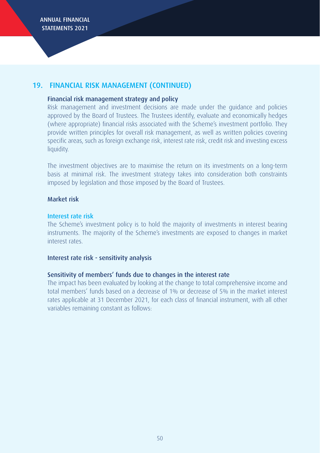#### Financial risk management strategy and policy

Risk management and investment decisions are made under the guidance and policies approved by the Board of Trustees. The Trustees identify, evaluate and economically hedges (where appropriate) financial risks associated with the Scheme's investment portfolio. They provide written principles for overall risk management, as well as written policies covering specific areas, such as foreign exchange risk, interest rate risk, credit risk and investing excess liquidity.

The investment objectives are to maximise the return on its investments on a long-term basis at minimal risk. The investment strategy takes into consideration both constraints imposed by legislation and those imposed by the Board of Trustees.

#### Market risk

#### Interest rate risk

The Scheme's investment policy is to hold the majority of investments in interest bearing instruments. The majority of the Scheme's investments are exposed to changes in market interest rates.

#### Interest rate risk - sensitivity analysis

#### Sensitivity of members' funds due to changes in the interest rate

The impact has been evaluated by looking at the change to total comprehensive income and total members' funds based on a decrease of 1% or decrease of 5% in the market interest rates applicable at 31 December 2021, for each class of financial instrument, with all other variables remaining constant as follows: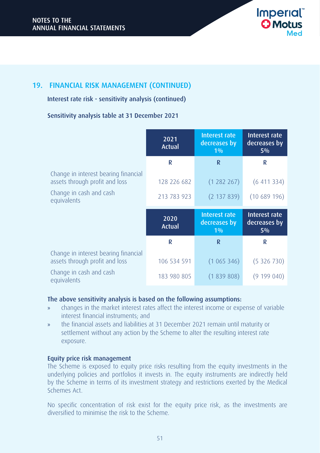Interest rate risk - sensitivity analysis (continued)

#### Sensitivity analysis table at 31 December 2021

|                                                                        | 2021<br>Actual | Interest rate<br>decreases by<br>$1\%$ | Interest rate<br>decreases by<br>5% |
|------------------------------------------------------------------------|----------------|----------------------------------------|-------------------------------------|
|                                                                        | R              | $\mathsf{R}$                           | R                                   |
| Change in interest bearing financial<br>assets through profit and loss | 128 226 682    | (1282267)                              | (6411334)                           |
| Change in cash and cash<br>equivalents                                 | 213 783 923    | (2137839)                              | (10689196)                          |
|                                                                        |                |                                        |                                     |
|                                                                        | 2020<br>Actual | Interest rate<br>decreases by<br>$1\%$ | Interest rate<br>decreases by<br>5% |
|                                                                        | R              | R                                      | R                                   |
| Change in interest bearing financial<br>assets through profit and loss | 106 534 591    | (1065346)                              | (5326730)                           |

#### The above sensitivity analysis is based on the following assumptions:

- » changes in the market interest rates affect the interest income or expense of variable interest financial instruments; and
- » the financial assets and liabilities at 31 December 2021 remain until maturity or settlement without any action by the Scheme to alter the resulting interest rate exposure.

#### Equity price risk management

The Scheme is exposed to equity price risks resulting from the equity investments in the underlying policies and portfolios it invests in. The equity instruments are indirectly held by the Scheme in terms of its investment strategy and restrictions exerted by the Medical Schemes Act.

No specific concentration of risk exist for the equity price risk, as the investments are diversified to minimise the risk to the Scheme.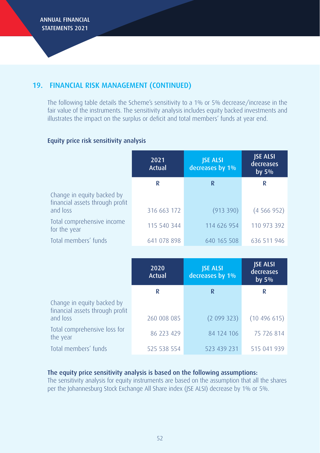The following table details the Scheme's sensitivity to a 1% or 5% decrease/increase in the fair value of the instruments. The sensitivity analysis includes equity backed investments and illustrates the impact on the surplus or deficit and total members' funds at year end.

### Equity price risk sensitivity analysis

|                                                                           | 2021<br>Actual | <b>JSE ALSI</b><br>decreases by 1% | <b>JSE ALSI</b><br><b>decreases</b><br>by $5\%$ |
|---------------------------------------------------------------------------|----------------|------------------------------------|-------------------------------------------------|
|                                                                           | R              | R                                  | R                                               |
| Change in equity backed by<br>financial assets through profit<br>and loss | 316 663 172    | (913 390)                          | (4566952)                                       |
| Total comprehensive income<br>for the year                                | 115 540 344    | 114 626 954                        | 110 973 392                                     |
| Total members' funds                                                      | 641 078 898    | 640 165 508                        | 636 511 946                                     |

|                                                                           | 2020<br>Actual | <b>JSE ALSI</b><br>decreases by 1% | <b>JSE ALSI</b><br>decreases<br>by $5\%$ |
|---------------------------------------------------------------------------|----------------|------------------------------------|------------------------------------------|
|                                                                           | R              | R                                  | R                                        |
| Change in equity backed by<br>financial assets through profit<br>and loss | 260 008 085    | (2099323)                          | (10496615)                               |
| Total comprehensive loss for<br>the year                                  | 86 223 429     | 84 124 106                         | 75 726 814                               |
| Total members' funds                                                      | 525 538 554    | 523 439 231                        | 515 041 939                              |

### The equity price sensitivity analysis is based on the following assumptions:

The sensitivity analysis for equity instruments are based on the assumption that all the shares per the Johannesburg Stock Exchange All Share index (JSE ALSI) decrease by 1% or 5%.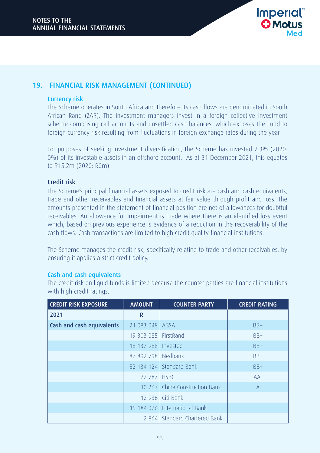

#### Currency risk

The Scheme operates in South Africa and therefore its cash flows are denominated in South African Rand (ZAR). The investment managers invest in a foreign collective investment scheme comprising call accounts and unsettled cash balances, which exposes the Fund to foreign currency risk resulting from fluctuations in foreign exchange rates during the year.

For purposes of seeking investment diversification, the Scheme has invested 2.3% (2020: 0%) of its investable assets in an offshore account. As at 31 December 2021, this equates to R15.2m (2020: R0m).

#### Credit risk

The Scheme's principal financial assets exposed to credit risk are cash and cash equivalents, trade and other receivables and financial assets at fair value through profit and loss. The amounts presented in the statement of financial position are net of allowances for doubtful receivables. An allowance for impairment is made where there is an identified loss event which, based on previous experience is evidence of a reduction in the recoverability of the cash flows. Cash transactions are limited to high credit quality financial institutions.

The Scheme manages the credit risk, specifically relating to trade and other receivables, by ensuring it applies a strict credit policy.

#### Cash and cash equivalents

The credit risk on liquid funds is limited because the counter parties are financial institutions with high credit ratings.

| <b>CREDIT RISK EXPOSURE</b> | <b>AMOUNT</b>          | <b>COUNTER PARTY</b>             | <b>CREDIT RATING</b> |
|-----------------------------|------------------------|----------------------------------|----------------------|
| 2021                        | R                      |                                  |                      |
| Cash and cash equivalents   | 21 083 048 ABSA        |                                  | $BB+$                |
|                             | 19 303 085   FirstRand |                                  | BB+                  |
|                             | 18 137 988   Investec  |                                  | BB+                  |
|                             | 87 892 798   Nedbank   |                                  | $BB+$                |
|                             |                        | 52 134 124 Standard Bank         | $BB+$                |
|                             | 22 787 HSBC            |                                  | $AA-$                |
|                             |                        | 10.267   China Construction Bank | $\overline{A}$       |
|                             |                        | 12 936 Citi Bank                 |                      |
|                             |                        | 15 184 026 International Bank    |                      |
|                             |                        | 2864 Standard Chartered Bank     |                      |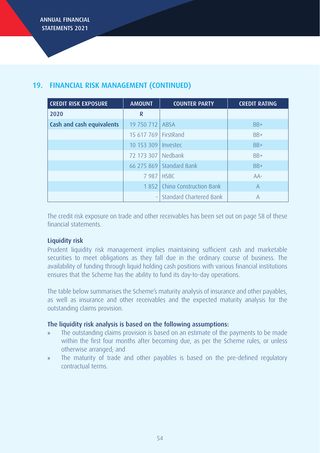| <b>CREDIT RISK EXPOSURE</b> | <b>AMOUNT</b> | <b>COUNTER PARTY</b>           | <b>CREDIT RATING</b> |
|-----------------------------|---------------|--------------------------------|----------------------|
| 2020                        | R             |                                |                      |
| Cash and cash equivalents   | 19 750 712    | ABSA                           | $BB+$                |
|                             | 15 617 769    | <b>FirstRand</b>               | BB+                  |
|                             | 10 153 309    | Invested                       | $BB+$                |
|                             | 72 173 307    | Nedbank                        | BB+                  |
|                             | 66 275 869    | <b>Standard Bank</b>           | BB+                  |
|                             | 7987          | <b>HSBC</b>                    | $AA-$                |
|                             | 1852          | <b>China Construction Bank</b> | A                    |
|                             |               | Standard Chartered Bank        | A                    |

The credit risk exposure on trade and other receivables has been set out on page 58 of these financial statements.

#### Liquidity risk

Prudent liquidity risk management implies maintaining sufficient cash and marketable securities to meet obligations as they fall due in the ordinary course of business. The availability of funding through liquid holding cash positions with various financial institutions ensures that the Scheme has the ability to fund its day-to-day operations.

The table below summarises the Scheme's maturity analysis of insurance and other payables, as well as insurance and other receivables and the expected maturity analysis for the outstanding claims provision.

#### The liquidity risk analysis is based on the following assumptions:

- » The outstanding claims provision is based on an estimate of the payments to be made within the first four months after becoming due, as per the Scheme rules, or unless otherwise arranged; and
- » The maturity of trade and other payables is based on the pre-defined regulatory contractual terms.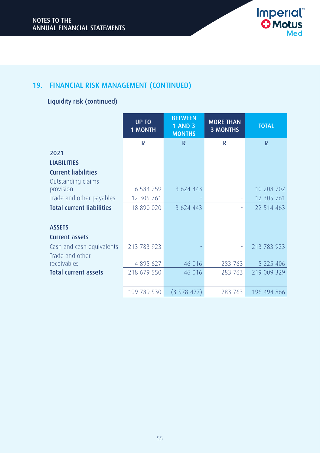# Liquidity risk (continued)

|                                  | UP TO<br><b>1 MONTH</b> | <b>BETWEEN</b><br><b>1 AND 3</b><br><b>MONTHS</b> | <b>MORE THAN</b><br><b>3 MONTHS</b> | <b>TOTAL</b>  |
|----------------------------------|-------------------------|---------------------------------------------------|-------------------------------------|---------------|
|                                  | R                       | $\mathsf{R}$                                      | R                                   | R             |
| 2021                             |                         |                                                   |                                     |               |
| <b>LIABILITIES</b>               |                         |                                                   |                                     |               |
| <b>Current liabilities</b>       |                         |                                                   |                                     |               |
| Outstanding claims               |                         |                                                   |                                     |               |
| provision                        | 6 5 8 4 2 5 9           | 3 624 443                                         | ÷                                   | 10 208 702    |
| Trade and other payables         | 12 305 761              |                                                   | ÷                                   | 12 305 761    |
| <b>Total current liabilities</b> | 18 890 020              | 3 624 443                                         | $\overline{\phantom{a}}$            | 22 514 463    |
|                                  |                         |                                                   |                                     |               |
| <b>ASSETS</b>                    |                         |                                                   |                                     |               |
| <b>Current assets</b>            |                         |                                                   |                                     |               |
| Cash and cash equivalents        | 213 783 923             |                                                   | $\equiv$                            | 213 783 923   |
| Trade and other                  |                         |                                                   |                                     |               |
| receivables                      | 4 895 627               | 46 0 16                                           | 283 763                             | 5 2 2 5 4 0 6 |
| <b>Total current assets</b>      | 218 679 550             | 46 0 16                                           | 283 763                             | 219 009 329   |
|                                  |                         |                                                   |                                     |               |
|                                  | 199 789 530             | (3 578 427)                                       | 283 763                             | 196 494 866   |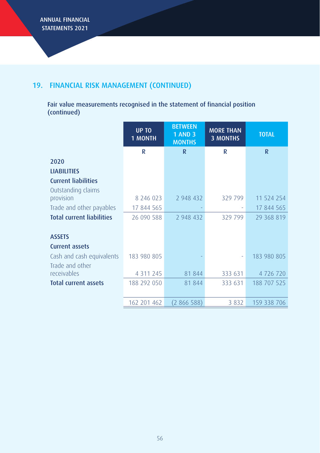Fair value measurements recognised in the statement of financial position (continued)

|                                  | UP TO<br><b>1 MONTH</b> | <b>BETWEEN</b><br><b>1 AND 3</b><br><b>MONTHS</b> | <b>MORE THAN</b><br><b>3 MONTHS</b> | <b>TOTAL</b> |
|----------------------------------|-------------------------|---------------------------------------------------|-------------------------------------|--------------|
|                                  | R                       | $\mathsf{R}$                                      | R                                   | $\mathsf{R}$ |
| 2020                             |                         |                                                   |                                     |              |
| <b>LIABILITIES</b>               |                         |                                                   |                                     |              |
| <b>Current liabilities</b>       |                         |                                                   |                                     |              |
| Outstanding claims               |                         |                                                   |                                     |              |
| provision                        | 8 2 4 6 0 2 3           | 2 948 432                                         | 329 799                             | 11 524 254   |
| Trade and other payables         | 17 844 565              |                                                   |                                     | 17 844 565   |
| <b>Total current liabilities</b> | 26 090 588              | 2 948 432                                         | 329 799                             | 29 368 819   |
|                                  |                         |                                                   |                                     |              |
| <b>ASSETS</b>                    |                         |                                                   |                                     |              |
| <b>Current assets</b>            |                         |                                                   |                                     |              |
| Cash and cash equivalents        | 183 980 805             |                                                   | $\equiv$                            | 183 980 805  |
| Trade and other                  |                         |                                                   |                                     |              |
| receivables                      | 4 3 1 1 2 4 5           | 81 844                                            | 333 631                             | 4726720      |
| <b>Total current assets</b>      | 188 292 050             | 81 844                                            | 333 631                             | 188 707 525  |
|                                  |                         |                                                   |                                     |              |
|                                  | 162 201 462             | (2 866 588)                                       | 3 8 3 2                             | 159 338 706  |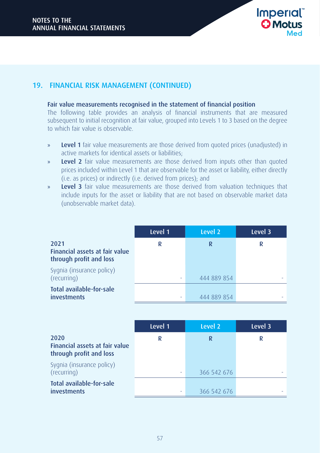

#### Fair value measurements recognised in the statement of financial position

The following table provides an analysis of financial instruments that are measured subsequent to initial recognition at fair value, grouped into Levels 1 to 3 based on the degree to which fair value is observable.

- » Level 1 fair value measurements are those derived from quoted prices (unadjusted) in active markets for identical assets or liabilities;
- » Level 2 fair value measurements are those derived from inputs other than quoted prices included within Level 1 that are observable for the asset or liability, either directly (i.e. as prices) or indirectly (i.e. derived from prices); and
- » Level 3 fair value measurements are those derived from valuation techniques that include inputs for the asset or liability that are not based on observable market data (unobservable market data).

|                                                                   | Level 1 | Level 2     | Level 3 |
|-------------------------------------------------------------------|---------|-------------|---------|
| 2021<br>Financial assets at fair value<br>through profit and loss | R       | R           | R       |
| Sygnia (insurance policy)<br>(recurring)                          |         | 444 889 854 |         |
| Total available-for-sale<br><i>investments</i>                    |         | 444 889 854 |         |

|                                                                   | Level 1 | Level <sub>2</sub> | Level 3 |
|-------------------------------------------------------------------|---------|--------------------|---------|
| 2020<br>Financial assets at fair value<br>through profit and loss | R       | R                  | R       |
| Sygnia (insurance policy)<br>(recurring)                          |         | 366 542 676        |         |
| Total available-for-sale<br><i>investments</i>                    |         | 366 542 676        |         |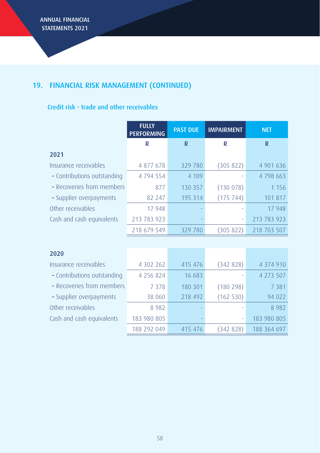# Credit risk - trade and other receivables

|                             | <b>FULLY</b><br><b>PERFORMING</b> | <b>PAST DUE</b> | <b>IMPAIRMENT</b> | <b>NET</b>  |
|-----------------------------|-----------------------------------|-----------------|-------------------|-------------|
|                             | R                                 | R               | R                 | R           |
| 2021                        |                                   |                 |                   |             |
| Insurance receivables       | 4 877 678                         | 329 780         | (305 822)         | 4 901 636   |
| - Contributions outstanding | 4 794 554                         | 4 1 0 9         |                   | 4798663     |
| - Recoveries from members   | 877                               | 130 357         | (130078)          | 1 1 5 6     |
| - Supplier overpayments     | 82 247                            | 195 314         | (175 744)         | 101 817     |
| Other receivables           | 17 948                            |                 | ۰                 | 17 948      |
| Cash and cash equivalents   | 213 783 923                       |                 | ۰                 | 213 783 923 |
|                             | 218 679 549                       | 329 780         | (305 822)         | 218 703 507 |

| 2020                        |               |         |           |               |
|-----------------------------|---------------|---------|-----------|---------------|
| Insurance receivables       | 4 302 262     | 415 476 | (342828)  | 4 3 7 4 9 1 0 |
| - Contributions outstanding | 4 2 5 6 8 2 4 | 16 683  |           | 4 2 7 3 5 0 7 |
| - Recoveries from members   | 7 3 7 8       | 180 301 | (180 298) | 7 3 8 1       |
| - Supplier overpayments     | 38 060        | 218 492 | (162530)  | 94 0 22       |
| Other receivables           | 8982          |         |           | 8982          |
| Cash and cash equivalents   | 183 980 805   |         | ۰         | 183 980 805   |
|                             | 188 292 049   | 415 476 | (342 828) | 188 364 697   |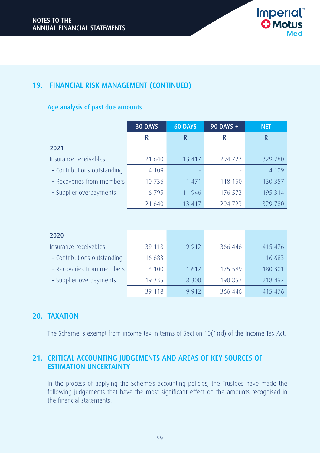### Age analysis of past due amounts

|                             | 30 DAYS | 60 DAYS | 90 DAYS + | <b>NET</b> |
|-----------------------------|---------|---------|-----------|------------|
|                             | R       | R       | R         | R          |
| 2021                        |         |         |           |            |
| Insurance receivables       | 21 640  | 13 417  | 294 723   | 329 780    |
| - Contributions outstanding | 4 109   | -       |           | 4 1 0 9    |
| - Recoveries from members   | 10 736  | 1 4 7 1 | 118 150   | 130 357    |
| - Supplier overpayments     | 6795    | 11 946  | 176 573   | 195 314    |
|                             | 21 640  | 13 417  | 294 723   | 329 780    |

| 2020                        |          |         |         |         |
|-----------------------------|----------|---------|---------|---------|
| Insurance receivables       | 39 118   | 9 9 1 2 | 366 446 | 415 476 |
| - Contributions outstanding | 16 683   | -       |         | 16 683  |
| - Recoveries from members   | 3 100    | 1 6 1 2 | 175 589 | 180 301 |
| - Supplier overpayments     | 19 3 3 5 | 8 300   | 190 857 | 218 492 |
|                             | 39 118   | 9912    | 366 446 | 415 476 |

### 20. TAXATION

The Scheme is exempt from income tax in terms of Section 10(1)(d) of the Income Tax Act.

### 21. CRITICAL ACCOUNTING JUDGEMENTS AND AREAS OF KEY SOURCES OF ESTIMATION UNCERTAINTY

In the process of applying the Scheme's accounting policies, the Trustees have made the following judgements that have the most significant effect on the amounts recognised in the financial statements: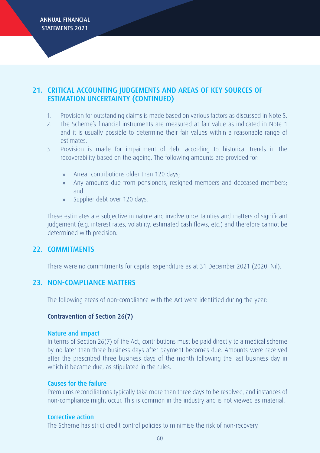### 21. CRITICAL ACCOUNTING JUDGEMENTS AND AREAS OF KEY SOURCES OF ESTIMATION UNCERTAINTY (CONTINUED)

- 1. Provision for outstanding claims is made based on various factors as discussed in Note 5.
- 2. The Scheme's financial instruments are measured at fair value as indicated in Note 1 and it is usually possible to determine their fair values within a reasonable range of estimates.
- 3. Provision is made for impairment of debt according to historical trends in the recoverability based on the ageing. The following amounts are provided for:
	- » Arrear contributions older than 120 days;
	- » Any amounts due from pensioners, resigned members and deceased members; and
	- » Supplier debt over 120 days.

These estimates are subjective in nature and involve uncertainties and matters of significant judgement (e.g. interest rates, volatility, estimated cash flows, etc.) and therefore cannot be determined with precision.

### 22. COMMITMENTS

There were no commitments for capital expenditure as at 31 December 2021 (2020: Nil).

### 23. NON-COMPLIANCE MATTERS

The following areas of non-compliance with the Act were identified during the year:

#### Contravention of Section 26(7)

#### Nature and impact

In terms of Section 26(7) of the Act, contributions must be paid directly to a medical scheme by no later than three business days after payment becomes due. Amounts were received after the prescribed three business days of the month following the last business day in which it became due, as stipulated in the rules.

#### Causes for the failure

Premiums reconciliations typically take more than three days to be resolved, and instances of non-compliance might occur. This is common in the industry and is not viewed as material.

#### Corrective action

The Scheme has strict credit control policies to minimise the risk of non-recovery.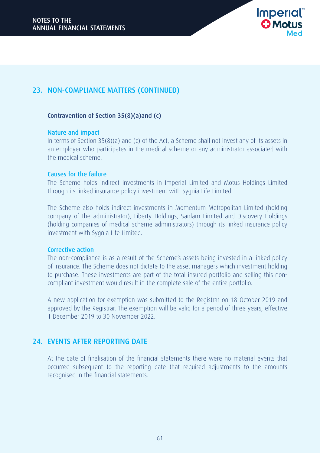

## 23. NON-COMPLIANCE MATTERS (CONTINUED)

#### Contravention of Section 35(8)(a)and (c)

#### Nature and impact

In terms of Section 35(8)(a) and (c) of the Act, a Scheme shall not invest any of its assets in an employer who participates in the medical scheme or any administrator associated with the medical scheme.

#### Causes for the failure

The Scheme holds indirect investments in Imperial Limited and Motus Holdings Limited through its linked insurance policy investment with Sygnia Life Limited.

The Scheme also holds indirect investments in Momentum Metropolitan Limited (holding company of the administrator), Liberty Holdings, Sanlam Limited and Discovery Holdings (holding companies of medical scheme administrators) through its linked insurance policy investment with Sygnia Life Limited.

#### Corrective action

The non-compliance is as a result of the Scheme's assets being invested in a linked policy of insurance. The Scheme does not dictate to the asset managers which investment holding to purchase. These investments are part of the total insured portfolio and selling this noncompliant investment would result in the complete sale of the entire portfolio.

A new application for exemption was submitted to the Registrar on 18 October 2019 and approved by the Registrar. The exemption will be valid for a period of three years, effective 1 December 2019 to 30 November 2022.

### 24. EVENTS AFTER REPORTING DATE

At the date of finalisation of the financial statements there were no material events that occurred subsequent to the reporting date that required adjustments to the amounts recognised in the financial statements.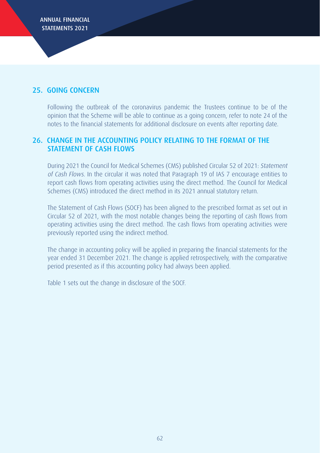### 25. GOING CONCERN

Following the outbreak of the coronavirus pandemic the Trustees continue to be of the opinion that the Scheme will be able to continue as a going concern, refer to note 24 of the notes to the financial statements for additional disclosure on events after reporting date.

### 26. CHANGE IN THE ACCOUNTING POLICY RELATING TO THE FORMAT OF THE STATEMENT OF CASH FLOWS

During 2021 the Council for Medical Schemes (CMS) published Circular 52 of 2021: Statement of Cash Flows. In the circular it was noted that Paragraph 19 of IAS 7 encourage entities to report cash flows from operating activities using the direct method. The Council for Medical Schemes (CMS) introduced the direct method in its 2021 annual statutory return.

The Statement of Cash Flows (SOCF) has been aligned to the prescribed format as set out in Circular 52 of 2021, with the most notable changes being the reporting of cash flows from operating activities using the direct method. The cash flows from operating activities were previously reported using the indirect method.

The change in accounting policy will be applied in preparing the financial statements for the year ended 31 December 2021. The change is applied retrospectively, with the comparative period presented as if this accounting policy had always been applied.

Table 1 sets out the change in disclosure of the SOCF.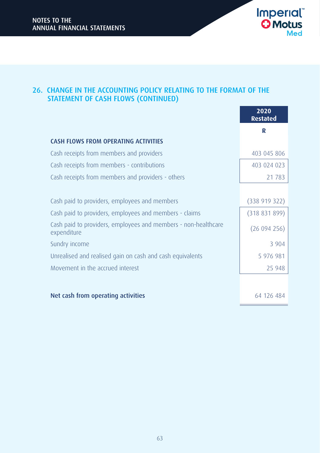

# 26. CHANGE IN THE ACCOUNTING POLICY RELATING TO THE FORMAT OF THE STATEMENT OF CASH FLOWS (CONTINUED)

|                                                                               | 2020<br><b>Restated</b> |
|-------------------------------------------------------------------------------|-------------------------|
|                                                                               | R                       |
| <b>CASH FLOWS FROM OPFRATING ACTIVITIES</b>                                   |                         |
| Cash receipts from members and providers                                      | 403 045 806             |
| Cash receipts from members - contributions                                    | 403 024 023             |
| Cash receipts from members and providers - others                             | 21 783                  |
|                                                                               |                         |
| Cash paid to providers, employees and members                                 | (338919322)             |
| Cash paid to providers, employees and members - claims                        | (318831899)             |
| Cash paid to providers, employees and members - non-healthcare<br>expenditure | (26094256)              |
| Sundry income                                                                 | 3 9 0 4                 |
| Unrealised and realised gain on cash and cash equivalents                     | 5 976 981               |
| Movement in the accrued interest                                              | 25 948                  |
|                                                                               |                         |
| Net cash from operating activities                                            | 64 126 484              |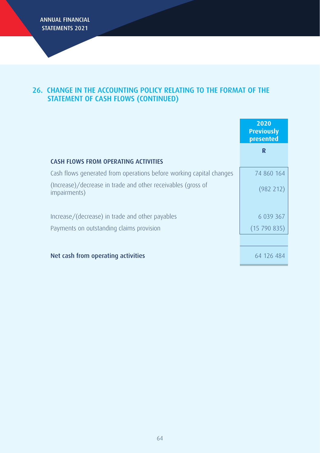# 26. CHANGE IN THE ACCOUNTING POLICY RELATING TO THE FORMAT OF THE STATEMENT OF CASH FLOWS (CONTINUED)

|                                                                              | 2020<br><b>Previously</b><br>presented |
|------------------------------------------------------------------------------|----------------------------------------|
|                                                                              | R                                      |
| <b>CASH FLOWS FROM OPERATING ACTIVITIES</b>                                  |                                        |
| Cash flows generated from operations before working capital changes          | 74 860 164                             |
| (Increase)/decrease in trade and other receivables (gross of<br>impairments) | (982 212)                              |
| Increase/(decrease) in trade and other payables                              | 6 039 367                              |
| Payments on outstanding claims provision                                     | (15790835)                             |
|                                                                              |                                        |
| Net cash from operating activities                                           | 64 126 484                             |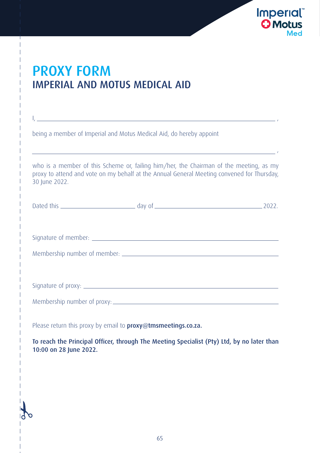,

## PROXY FORM IMPERIAL AND MOTUS MEDICAL AID

| being a member of Imperial and Motus Medical Aid, do hereby appoint |  |  |  |  |  |  |
|---------------------------------------------------------------------|--|--|--|--|--|--|
|---------------------------------------------------------------------|--|--|--|--|--|--|

who is a member of this Scheme or, failing him/her, the Chairman of the meeting, as my proxy to attend and vote on my behalf at the Annual General Meeting convened for Thursday, 30 June 2022.

I, ,

| Membership number of proxy: |  |
|-----------------------------|--|

Please return this proxy by email to **proxy@tmsmeetings.co.za.** 

 $\overline{1}$ Ť

T

To reach the Principal Officer, through The Meeting Specialist (Pty) Ltd, by no later than 10:00 on 28 June 2022.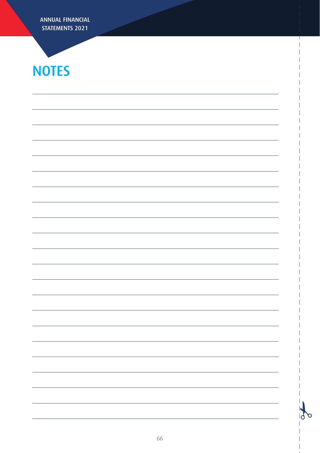ANNUAL FINANCIAL STATEMENTS 2021

## **NOTES**